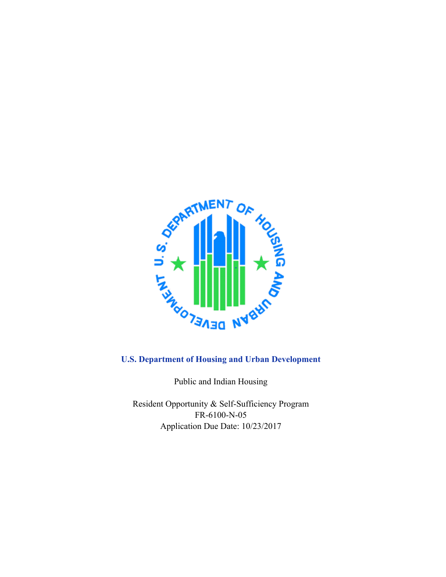

Public and Indian Housing

Resident Opportunity & Self-Sufficiency Program FR-6100-N-05 Application Due Date: 10/23/2017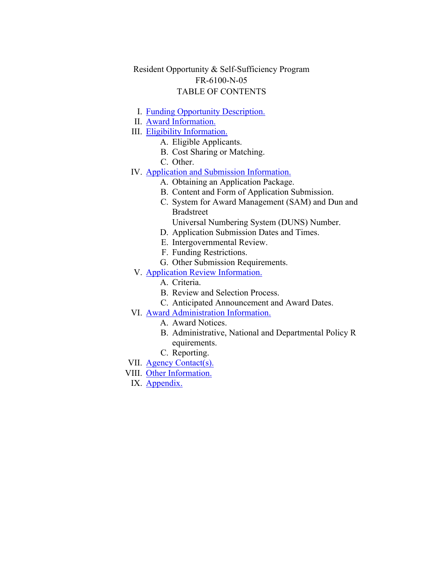# Resident Opportunity & Self-Sufficiency Program FR-6100-N-05 TABLE OF CONTENTS

- I. Funding Opportunity [Description.](#page-2-0)
- II. Award [Information.](#page-12-0)
- III. Eligibility [Information.](#page-14-0)
	- A. Eligible Applicants.
		- B. Cost Sharing or Matching.
		- C. Other.
- IV. Application and Submission [Information.](#page-30-0)
	- A. Obtaining an Application Package.
	- B. Content and Form of Application Submission.
	- C. System for Award Management (SAM) and Dun and Bradstreet
		- Universal Numbering System (DUNS) Number.
	- D. Application Submission Dates and Times.
	- E. Intergovernmental Review.
	- F. Funding Restrictions.
	- G. Other Submission Requirements.
- V. Application Review [Information.](#page-42-0)
	- A. Criteria.
	- B. Review and Selection Process.
	- C. Anticipated Announcement and Award Dates.
- VI. Award [Administration](#page-47-0) Information.
	- A. Award Notices.
	- B. Administrative, National and Departmental Policy R equirements.
	- C. Reporting.
- VII. Agency [Contact\(s\).](#page-52-0)
- VIII. Other [Information.](#page-52-1)
- IX. [Appendix.](#page-53-0)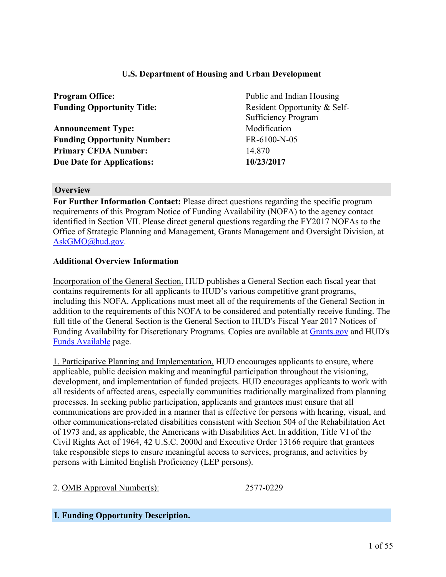#### **U.S. Department of Housing and Urban Development**

| <b>Program Office:</b>             | Public and Indian Housing                                  |  |
|------------------------------------|------------------------------------------------------------|--|
| <b>Funding Opportunity Title:</b>  | Resident Opportunity & Self-<br><b>Sufficiency Program</b> |  |
| <b>Announcement Type:</b>          | Modification                                               |  |
| <b>Funding Opportunity Number:</b> | FR-6100-N-05                                               |  |
| <b>Primary CFDA Number:</b>        | 14.870                                                     |  |
| <b>Due Date for Applications:</b>  | 10/23/2017                                                 |  |

#### **Overview**

**For Further Information Contact:** Please direct questions regarding the specific program requirements of this Program Notice of Funding Availability (NOFA) to the agency contact identified in Section VII. Please direct general questions regarding the FY2017 NOFAs to the Office of Strategic Planning and Management, Grants Management and Oversight Division, at [AskGMO@hud.gov](mailto:AskGMO@hud.gov).

#### **Additional Overview Information**

Incorporation of the General Section. HUD publishes a General Section each fiscal year that contains requirements for all applicants to HUD's various competitive grant programs, including this NOFA. Applications must meet all of the requirements of the General Section in addition to the requirements of this NOFA to be considered and potentially receive funding. The full title of the General Section is the General Section to HUD's Fiscal Year 2017 Notices of Funding Availability for Discretionary Programs. Copies are available at [Grants.gov](https://www.grants.gov) and HUD's Funds [Available](https://portal.hud.gov/hudportal/HUD?src=/program_offices/administration/grants/fundsavail) page.

1. Participative Planning and Implementation. HUD encourages applicants to ensure, where applicable, public decision making and meaningful participation throughout the visioning, development, and implementation of funded projects. HUD encourages applicants to work with all residents of affected areas, especially communities traditionally marginalized from planning processes. In seeking public participation, applicants and grantees must ensure that all communications are provided in a manner that is effective for persons with hearing, visual, and other communications-related disabilities consistent with Section 504 of the Rehabilitation Act of 1973 and, as applicable, the Americans with Disabilities Act. In addition, Title VI of the Civil Rights Act of 1964, 42 U.S.C. 2000d and Executive Order 13166 require that grantees take responsible steps to ensure meaningful access to services, programs, and activities by persons with Limited English Proficiency (LEP persons).

2. OMB Approval Number(s): 2577-0229

#### <span id="page-2-0"></span>**I. Funding Opportunity Description.**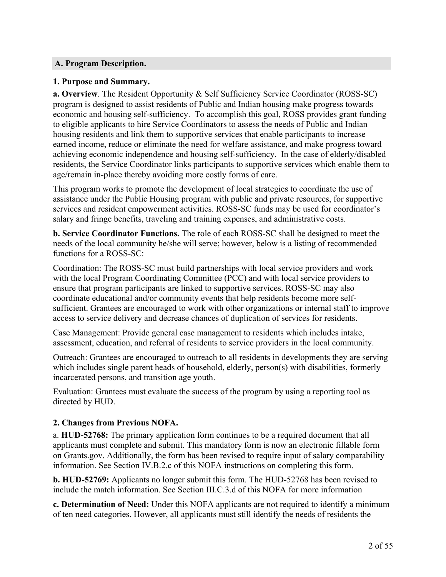## **A. Program Description.**

#### **1. Purpose and Summary.**

**a. Overview**. The Resident Opportunity & Self Sufficiency Service Coordinator (ROSS-SC) program is designed to assist residents of Public and Indian housing make progress towards economic and housing self-sufficiency. To accomplish this goal, ROSS provides grant funding to eligible applicants to hire Service Coordinators to assess the needs of Public and Indian housing residents and link them to supportive services that enable participants to increase earned income, reduce or eliminate the need for welfare assistance, and make progress toward achieving economic independence and housing self-sufficiency. In the case of elderly/disabled residents, the Service Coordinator links participants to supportive services which enable them to age/remain in-place thereby avoiding more costly forms of care.

This program works to promote the development of local strategies to coordinate the use of assistance under the Public Housing program with public and private resources, for supportive services and resident empowerment activities. ROSS-SC funds may be used for coordinator's salary and fringe benefits, traveling and training expenses, and administrative costs.

**b. Service Coordinator Functions.** The role of each ROSS-SC shall be designed to meet the needs of the local community he/she will serve; however, below is a listing of recommended functions for a ROSS-SC:

Coordination: The ROSS-SC must build partnerships with local service providers and work with the local Program Coordinating Committee (PCC) and with local service providers to ensure that program participants are linked to supportive services. ROSS-SC may also coordinate educational and/or community events that help residents become more selfsufficient. Grantees are encouraged to work with other organizations or internal staff to improve access to service delivery and decrease chances of duplication of services for residents.

Case Management: Provide general case management to residents which includes intake, assessment, education, and referral of residents to service providers in the local community.

Outreach: Grantees are encouraged to outreach to all residents in developments they are serving which includes single parent heads of household, elderly, person(s) with disabilities, formerly incarcerated persons, and transition age youth.

Evaluation: Grantees must evaluate the success of the program by using a reporting tool as directed by HUD.

## **2. Changes from Previous NOFA.**

a. **HUD-52768:** The primary application form continues to be a required document that all applicants must complete and submit. This mandatory form is now an electronic fillable form on Grants.gov. Additionally, the form has been revised to require input of salary comparability information. See Section IV.B.2.c of this NOFA instructions on completing this form.

**b. HUD-52769:** Applicants no longer submit this form. The HUD-52768 has been revised to include the match information. See Section III.C.3.d of this NOFA for more information

**c. Determination of Need:** Under this NOFA applicants are not required to identify a minimum of ten need categories. However, all applicants must still identify the needs of residents the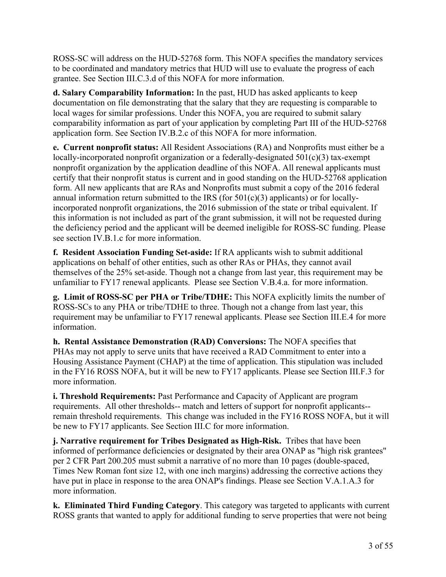ROSS-SC will address on the HUD-52768 form. This NOFA specifies the mandatory services to be coordinated and mandatory metrics that HUD will use to evaluate the progress of each grantee. See Section III.C.3.d of this NOFA for more information.

**d. Salary Comparability Information:** In the past, HUD has asked applicants to keep documentation on file demonstrating that the salary that they are requesting is comparable to local wages for similar professions. Under this NOFA, you are required to submit salary comparability information as part of your application by completing Part III of the HUD-52768 application form. See Section IV.B.2.c of this NOFA for more information.

**e. Current nonprofit status:** All Resident Associations (RA) and Nonprofits must either be a locally-incorporated nonprofit organization or a federally-designated 501(c)(3) tax-exempt nonprofit organization by the application deadline of this NOFA. All renewal applicants must certify that their nonprofit status is current and in good standing on the HUD-52768 application form. All new applicants that are RAs and Nonprofits must submit a copy of the 2016 federal annual information return submitted to the IRS (for  $501(c)(3)$ ) applicants) or for locallyincorporated nonprofit organizations, the 2016 submission of the state or tribal equivalent. If this information is not included as part of the grant submission, it will not be requested during the deficiency period and the applicant will be deemed ineligible for ROSS-SC funding. Please see section IV.B.1.c for more information.

**f. Resident Association Funding Set-aside:** If RA applicants wish to submit additional applications on behalf of other entities, such as other RAs or PHAs, they cannot avail themselves of the 25% set-aside. Though not a change from last year, this requirement may be unfamiliar to FY17 renewal applicants. Please see Section V.B.4.a. for more information.

**g. Limit of ROSS-SC per PHA or Tribe/TDHE:** This NOFA explicitly limits the number of ROSS-SCs to any PHA or tribe/TDHE to three. Though not a change from last year, this requirement may be unfamiliar to FY17 renewal applicants. Please see Section III.E.4 for more information.

**h. Rental Assistance Demonstration (RAD) Conversions:** The NOFA specifies that PHAs may not apply to serve units that have received a RAD Commitment to enter into a Housing Assistance Payment (CHAP) at the time of application. This stipulation was included in the FY16 ROSS NOFA, but it will be new to FY17 applicants. Please see Section III.F.3 for more information.

**i. Threshold Requirements:** Past Performance and Capacity of Applicant are program requirements. All other thresholds-- match and letters of support for nonprofit applicants- remain threshold requirements. This change was included in the FY16 ROSS NOFA, but it will be new to FY17 applicants. See Section III.C for more information.

**j. Narrative requirement for Tribes Designated as High-Risk.** Tribes that have been informed of performance deficiencies or designated by their area ONAP as "high risk grantees" per 2 CFR Part 200.205 must submit a narrative of no more than 10 pages (double-spaced, Times New Roman font size 12, with one inch margins) addressing the corrective actions they have put in place in response to the area ONAP's findings. Please see Section V.A.1.A.3 for more information.

**k. Eliminated Third Funding Category**. This category was targeted to applicants with current ROSS grants that wanted to apply for additional funding to serve properties that were not being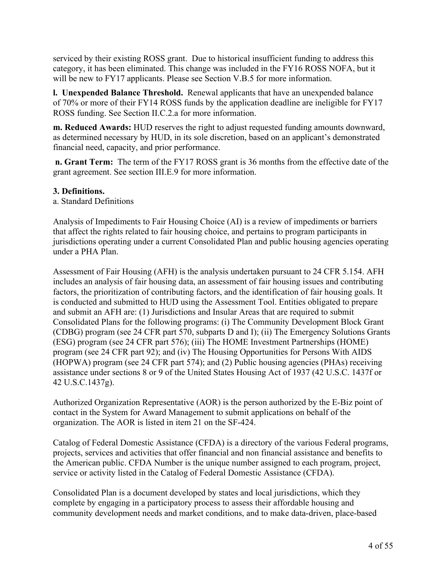serviced by their existing ROSS grant. Due to historical insufficient funding to address this category, it has been eliminated. This change was included in the FY16 ROSS NOFA, but it will be new to FY17 applicants. Please see Section V.B.5 for more information.

**l. Unexpended Balance Threshold.** Renewal applicants that have an unexpended balance of 70% or more of their FY14 ROSS funds by the application deadline are ineligible for FY17 ROSS funding. See Section II.C.2.a for more information.

**m. Reduced Awards:** HUD reserves the right to adjust requested funding amounts downward, as determined necessary by HUD, in its sole discretion, based on an applicant's demonstrated financial need, capacity, and prior performance.

**n. Grant Term:** The term of the FY17 ROSS grant is 36 months from the effective date of the grant agreement. See section III.E.9 for more information.

# **3. Definitions.**

a. Standard Definitions

Analysis of Impediments to Fair Housing Choice (AI) is a review of impediments or barriers that affect the rights related to fair housing choice, and pertains to program participants in jurisdictions operating under a current Consolidated Plan and public housing agencies operating under a PHA Plan.

Assessment of Fair Housing (AFH) is the analysis undertaken pursuant to 24 CFR 5.154. AFH includes an analysis of fair housing data, an assessment of fair housing issues and contributing factors, the prioritization of contributing factors, and the identification of fair housing goals. It is conducted and submitted to HUD using the Assessment Tool. Entities obligated to prepare and submit an AFH are: (1) Jurisdictions and Insular Areas that are required to submit Consolidated Plans for the following programs: (i) The Community Development Block Grant (CDBG) program (see 24 CFR part 570, subparts D and I); (ii) The Emergency Solutions Grants (ESG) program (see 24 CFR part 576); (iii) The HOME Investment Partnerships (HOME) program (see 24 CFR part 92); and (iv) The Housing Opportunities for Persons With AIDS (HOPWA) program (see 24 CFR part 574); and (2) Public housing agencies (PHAs) receiving assistance under sections 8 or 9 of the United States Housing Act of 1937 (42 U.S.C. 1437f or 42 U.S.C.1437g).

Authorized Organization Representative (AOR) is the person authorized by the E-Biz point of contact in the System for Award Management to submit applications on behalf of the organization. The AOR is listed in item 21 on the SF-424.

Catalog of Federal Domestic Assistance (CFDA) is a directory of the various Federal programs, projects, services and activities that offer financial and non financial assistance and benefits to the American public. CFDA Number is the unique number assigned to each program, project, service or activity listed in the Catalog of Federal Domestic Assistance (CFDA).

Consolidated Plan is a document developed by states and local jurisdictions, which they complete by engaging in a participatory process to assess their affordable housing and community development needs and market conditions, and to make data-driven, place-based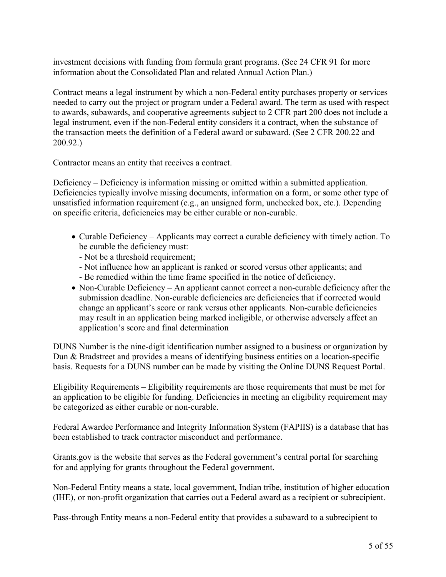investment decisions with funding from formula grant programs. (See 24 CFR 91 for more information about the Consolidated Plan and related Annual Action Plan.)

Contract means a legal instrument by which a non-Federal entity purchases property or services needed to carry out the project or program under a Federal award. The term as used with respect to awards, subawards, and cooperative agreements subject to 2 CFR part 200 does not include a legal instrument, even if the non-Federal entity considers it a contract, when the substance of the transaction meets the definition of a Federal award or subaward. (See 2 CFR 200.22 and 200.92.)

Contractor means an entity that receives a contract.

Deficiency – Deficiency is information missing or omitted within a submitted application. Deficiencies typically involve missing documents, information on a form, or some other type of unsatisfied information requirement (e.g., an unsigned form, unchecked box, etc.). Depending on specific criteria, deficiencies may be either curable or non-curable.

- Curable Deficiency Applicants may correct a curable deficiency with timely action. To be curable the deficiency must:
	- Not be a threshold requirement;
	- Not influence how an applicant is ranked or scored versus other applicants; and - Be remedied within the time frame specified in the notice of deficiency.
- Non-Curable Deficiency An applicant cannot correct a non-curable deficiency after the submission deadline. Non-curable deficiencies are deficiencies that if corrected would change an applicant's score or rank versus other applicants. Non-curable deficiencies may result in an application being marked ineligible, or otherwise adversely affect an application's score and final determination

DUNS Number is the nine-digit identification number assigned to a business or organization by Dun & Bradstreet and provides a means of identifying business entities on a location-specific basis. Requests for a DUNS number can be made by visiting the Online DUNS Request Portal.

Eligibility Requirements – Eligibility requirements are those requirements that must be met for an application to be eligible for funding. Deficiencies in meeting an eligibility requirement may be categorized as either curable or non-curable.

Federal Awardee Performance and Integrity Information System (FAPIIS) is a database that has been established to track contractor misconduct and performance.

Grants.gov is the website that serves as the Federal government's central portal for searching for and applying for grants throughout the Federal government.

Non-Federal Entity means a state, local government, Indian tribe, institution of higher education (IHE), or non-profit organization that carries out a Federal award as a recipient or subrecipient.

Pass-through Entity means a non-Federal entity that provides a subaward to a subrecipient to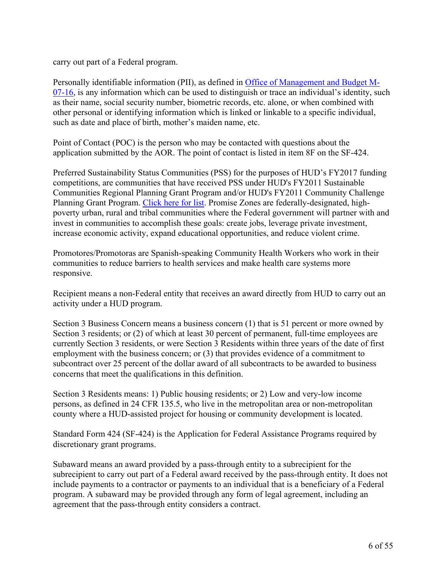carry out part of a Federal program.

Personally identifiable information (PII), as defined in Office of [Management](https://www.bia.gov/cs/groups/xocio/documents/text/idc-041032.pdf) and Budget M-[07-16,](https://www.bia.gov/cs/groups/xocio/documents/text/idc-041032.pdf) is any information which can be used to distinguish or trace an individual's identity, such as their name, social security number, biometric records, etc. alone, or when combined with other personal or identifying information which is linked or linkable to a specific individual, such as date and place of birth, mother's maiden name, etc.

Point of Contact (POC) is the person who may be contacted with questions about the application submitted by the AOR. The point of contact is listed in item 8F on the SF-424.

Preferred Sustainability Status Communities (PSS) for the purposes of HUD's FY2017 funding competitions, are communities that have received PSS under HUD's FY2011 Sustainable Communities Regional Planning Grant Program and/or HUD's FY2011 Community Challenge Planning Grant Program. [Click](https://portal.hud.gov/hudportal/documents/huddoc?id=PSS_POCs.pdf) here for list. Promise Zones are federally-designated, highpoverty urban, rural and tribal communities where the Federal government will partner with and invest in communities to accomplish these goals: create jobs, leverage private investment, increase economic activity, expand educational opportunities, and reduce violent crime.

Promotores/Promotoras are Spanish-speaking Community Health Workers who work in their communities to reduce barriers to health services and make health care systems more responsive.

Recipient means a non-Federal entity that receives an award directly from HUD to carry out an activity under a HUD program.

Section 3 Business Concern means a business concern (1) that is 51 percent or more owned by Section 3 residents; or (2) of which at least 30 percent of permanent, full-time employees are currently Section 3 residents, or were Section 3 Residents within three years of the date of first employment with the business concern; or (3) that provides evidence of a commitment to subcontract over 25 percent of the dollar award of all subcontracts to be awarded to business concerns that meet the qualifications in this definition.

Section 3 Residents means: 1) Public housing residents; or 2) Low and very-low income persons, as defined in 24 CFR 135.5, who live in the metropolitan area or non-metropolitan county where a HUD-assisted project for housing or community development is located.

Standard Form 424 (SF-424) is the Application for Federal Assistance Programs required by discretionary grant programs.

Subaward means an award provided by a pass-through entity to a subrecipient for the subrecipient to carry out part of a Federal award received by the pass-through entity. It does not include payments to a contractor or payments to an individual that is a beneficiary of a Federal program. A subaward may be provided through any form of legal agreement, including an agreement that the pass-through entity considers a contract.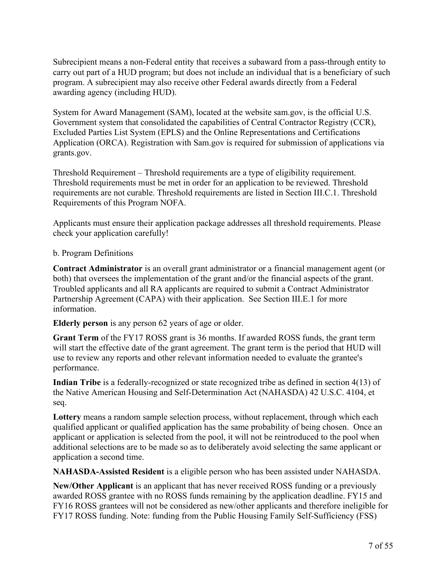Subrecipient means a non-Federal entity that receives a subaward from a pass-through entity to carry out part of a HUD program; but does not include an individual that is a beneficiary of such program. A subrecipient may also receive other Federal awards directly from a Federal awarding agency (including HUD).

System for Award Management (SAM), located at the website sam.gov, is the official U.S. Government system that consolidated the capabilities of Central Contractor Registry (CCR), Excluded Parties List System (EPLS) and the Online Representations and Certifications Application (ORCA). Registration with Sam.gov is required for submission of applications via grants.gov.

Threshold Requirement – Threshold requirements are a type of eligibility requirement. Threshold requirements must be met in order for an application to be reviewed. Threshold requirements are not curable. Threshold requirements are listed in Section III.C.1. Threshold Requirements of this Program NOFA.

Applicants must ensure their application package addresses all threshold requirements. Please check your application carefully!

#### b. Program Definitions

**Contract Administrator** is an overall grant administrator or a financial management agent (or both) that oversees the implementation of the grant and/or the financial aspects of the grant. Troubled applicants and all RA applicants are required to submit a Contract Administrator Partnership Agreement (CAPA) with their application. See Section III.E.1 for more information.

**Elderly person** is any person 62 years of age or older.

**Grant Term** of the FY17 ROSS grant is 36 months. If awarded ROSS funds, the grant term will start the effective date of the grant agreement. The grant term is the period that HUD will use to review any reports and other relevant information needed to evaluate the grantee's performance.

**Indian Tribe** is a federally-recognized or state recognized tribe as defined in section 4(13) of the Native American Housing and Self-Determination Act (NAHASDA) 42 U.S.C. 4104, et seq.

**Lottery** means a random sample selection process, without replacement, through which each qualified applicant or qualified application has the same probability of being chosen. Once an applicant or application is selected from the pool, it will not be reintroduced to the pool when additional selections are to be made so as to deliberately avoid selecting the same applicant or application a second time.

**NAHASDA-Assisted Resident** is a eligible person who has been assisted under NAHASDA.

**New/Other Applicant** is an applicant that has never received ROSS funding or a previously awarded ROSS grantee with no ROSS funds remaining by the application deadline. FY15 and FY16 ROSS grantees will not be considered as new/other applicants and therefore ineligible for FY17 ROSS funding. Note: funding from the Public Housing Family Self-Sufficiency (FSS)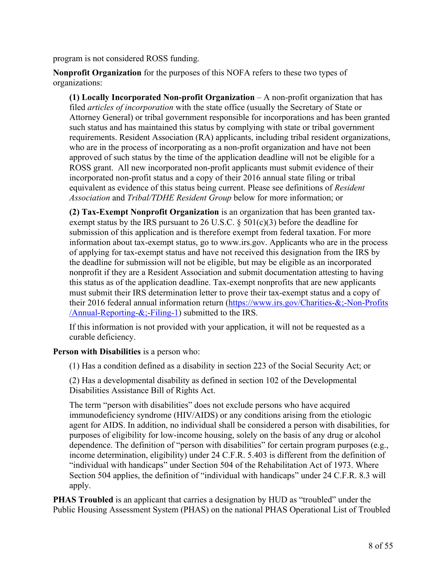program is not considered ROSS funding.

**Nonprofit Organization** for the purposes of this NOFA refers to these two types of organizations:

**(1) Locally Incorporated Non-profit Organization** – A non-profit organization that has filed *articles of incorporation* with the state office (usually the Secretary of State or Attorney General) or tribal government responsible for incorporations and has been granted such status and has maintained this status by complying with state or tribal government requirements. Resident Association (RA) applicants, including tribal resident organizations, who are in the process of incorporating as a non-profit organization and have not been approved of such status by the time of the application deadline will not be eligible for a ROSS grant. All new incorporated non-profit applicants must submit evidence of their incorporated non-profit status and a copy of their 2016 annual state filing or tribal equivalent as evidence of this status being current. Please see definitions of *Resident Association* and *Tribal/TDHE Resident Group* below for more information; or

**(2) Tax-Exempt Nonprofit Organization** is an organization that has been granted taxexempt status by the IRS pursuant to 26 U.S.C.  $\S$  501(c)(3) before the deadline for submission of this application and is therefore exempt from federal taxation. For more information about tax-exempt status, go to www.irs.gov. Applicants who are in the process of applying for tax-exempt status and have not received this designation from the IRS by the deadline for submission will not be eligible, but may be eligible as an incorporated nonprofit if they are a Resident Association and submit documentation attesting to having this status as of the application deadline. Tax-exempt nonprofits that are new applicants must submit their IRS determination letter to prove their tax-exempt status and a copy of their 2016 federal annual information return ([https://www.irs.gov/Charities-&;-Non-Profits](https://www.irs.gov/Charities-&-Non-Profits/Annual-Reporting-&-Filing-1) [/Annual-Reporting-&;-Filing-1](https://www.irs.gov/Charities-&-Non-Profits/Annual-Reporting-&-Filing-1)) submitted to the IRS.

If this information is not provided with your application, it will not be requested as a curable deficiency.

**Person with Disabilities** is a person who:

(1) Has a condition defined as a disability in section 223 of the Social Security Act; or

(2) Has a developmental disability as defined in section 102 of the Developmental Disabilities Assistance Bill of Rights Act.

The term "person with disabilities" does not exclude persons who have acquired immunodeficiency syndrome (HIV/AIDS) or any conditions arising from the etiologic agent for AIDS. In addition, no individual shall be considered a person with disabilities, for purposes of eligibility for low-income housing, solely on the basis of any drug or alcohol dependence. The definition of "person with disabilities" for certain program purposes (e.g., income determination, eligibility) under 24 C.F.R. 5.403 is different from the definition of "individual with handicaps" under Section 504 of the Rehabilitation Act of 1973. Where Section 504 applies, the definition of "individual with handicaps" under 24 C.F.R. 8.3 will apply.

**PHAS Troubled** is an applicant that carries a designation by HUD as "troubled" under the Public Housing Assessment System (PHAS) on the national PHAS Operational List of Troubled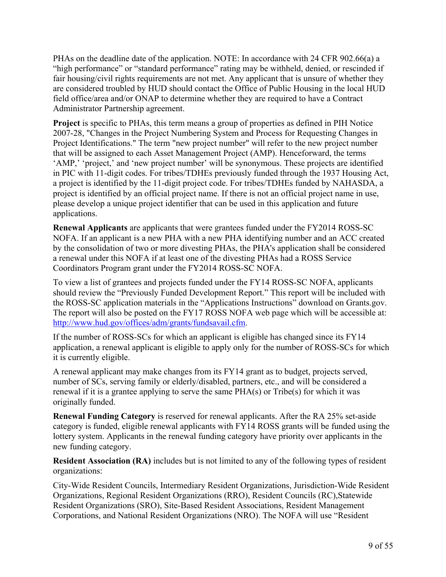PHAs on the deadline date of the application. NOTE: In accordance with 24 CFR 902.66(a) a "high performance" or "standard performance" rating may be withheld, denied, or rescinded if fair housing/civil rights requirements are not met. Any applicant that is unsure of whether they are considered troubled by HUD should contact the Office of Public Housing in the local HUD field office/area and/or ONAP to determine whether they are required to have a Contract Administrator Partnership agreement.

**Project** is specific to PHAs, this term means a group of properties as defined in PIH Notice 2007-28, "Changes in the Project Numbering System and Process for Requesting Changes in Project Identifications." The term "new project number" will refer to the new project number that will be assigned to each Asset Management Project (AMP). Henceforward, the terms 'AMP,' 'project,' and 'new project number' will be synonymous. These projects are identified in PIC with 11-digit codes. For tribes/TDHEs previously funded through the 1937 Housing Act, a project is identified by the 11-digit project code. For tribes/TDHEs funded by NAHASDA, a project is identified by an official project name. If there is not an official project name in use, please develop a unique project identifier that can be used in this application and future applications.

**Renewal Applicants** are applicants that were grantees funded under the FY2014 ROSS-SC NOFA. If an applicant is a new PHA with a new PHA identifying number and an ACC created by the consolidation of two or more divesting PHAs, the PHA's application shall be considered a renewal under this NOFA if at least one of the divesting PHAs had a ROSS Service Coordinators Program grant under the FY2014 ROSS-SC NOFA.

To view a list of grantees and projects funded under the FY14 ROSS-SC NOFA, applicants should review the "Previously Funded Development Report." This report will be included with the ROSS-SC application materials in the "Applications Instructions" download on Grants.gov. The report will also be posted on the FY17 ROSS NOFA web page which will be accessible at: <http://www.hud.gov/offices/adm/grants/fundsavail.cfm>.

If the number of ROSS-SCs for which an applicant is eligible has changed since its FY14 application, a renewal applicant is eligible to apply only for the number of ROSS-SCs for which it is currently eligible.

A renewal applicant may make changes from its FY14 grant as to budget, projects served, number of SCs, serving family or elderly/disabled, partners, etc., and will be considered a renewal if it is a grantee applying to serve the same PHA(s) or Tribe(s) for which it was originally funded.

**Renewal Funding Category** is reserved for renewal applicants. After the RA 25% set-aside category is funded, eligible renewal applicants with FY14 ROSS grants will be funded using the lottery system. Applicants in the renewal funding category have priority over applicants in the new funding category.

**Resident Association (RA)** includes but is not limited to any of the following types of resident organizations:

City-Wide Resident Councils, Intermediary Resident Organizations, Jurisdiction-Wide Resident Organizations, Regional Resident Organizations (RRO), Resident Councils (RC),Statewide Resident Organizations (SRO), Site-Based Resident Associations, Resident Management Corporations, and National Resident Organizations (NRO). The NOFA will use "Resident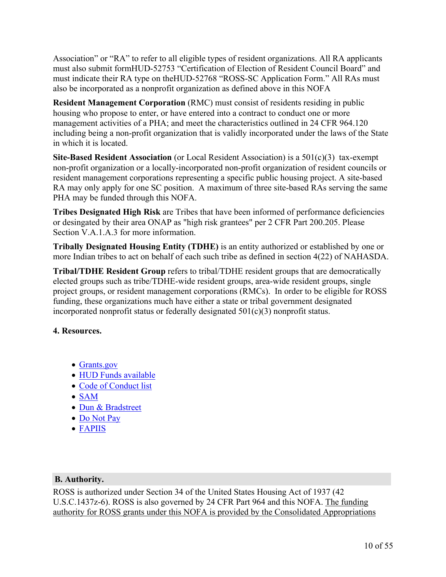Association" or "RA" to refer to all eligible types of resident organizations. All RA applicants must also submit formHUD-52753 "Certification of Election of Resident Council Board" and must indicate their RA type on theHUD-52768 "ROSS-SC Application Form." All RAs must also be incorporated as a nonprofit organization as defined above in this NOFA

**Resident Management Corporation** (RMC) must consist of residents residing in public housing who propose to enter, or have entered into a contract to conduct one or more management activities of a PHA; and meet the characteristics outlined in 24 CFR 964.120 including being a non-profit organization that is validly incorporated under the laws of the State in which it is located.

**Site-Based Resident Association** (or Local Resident Association) is a 501(c)(3) tax-exempt non-profit organization or a locally-incorporated non-profit organization of resident councils or resident management corporations representing a specific public housing project. A site-based RA may only apply for one SC position. A maximum of three site-based RAs serving the same PHA may be funded through this NOFA.

**Tribes Designated High Risk** are Tribes that have been informed of performance deficiencies or desingated by their area ONAP as "high risk grantees" per 2 CFR Part 200.205. Please Section V.A.1.A.3 for more information.

**Tribally Designated Housing Entity (TDHE)** is an entity authorized or established by one or more Indian tribes to act on behalf of each such tribe as defined in section 4(22) of NAHASDA.

**Tribal/TDHE Resident Group** refers to tribal/TDHE resident groups that are democratically elected groups such as tribe/TDHE-wide resident groups, area-wide resident groups, single project groups, or resident management corporations (RMCs). In order to be eligible for ROSS funding, these organizations much have either a state or tribal government designated incorporated nonprofit status or federally designated 501(c)(3) nonprofit status.

# **4. Resources.**

- [Grants.gov](https://www.grants.gov/)
- HUD Funds [available](https://portal.hud.gov/hudportal/HUD?src=/program_offices/administration/grants/fundsavail)
- Code of [Conduct](https://portal.hud.gov/hudportal/HUD?src=/program_offices/administration/grants/conduct) list
- [SAM](https://www.sam.gov/)
- Dun & [Bradstreet](https://fedgov.dnb.com/webform)
- Do [Not](https://donotpay.treas.gov/) Pay
- [FAPIIS](https://www.fapiis.gov/fapiis/index.action)

## **B. Authority.**

ROSS is authorized under Section 34 of the United States Housing Act of 1937 (42 U.S.C.1437z-6). ROSS is also governed by 24 CFR Part 964 and this NOFA. The funding authority for ROSS grants under this NOFA is provided by the Consolidated Appropriations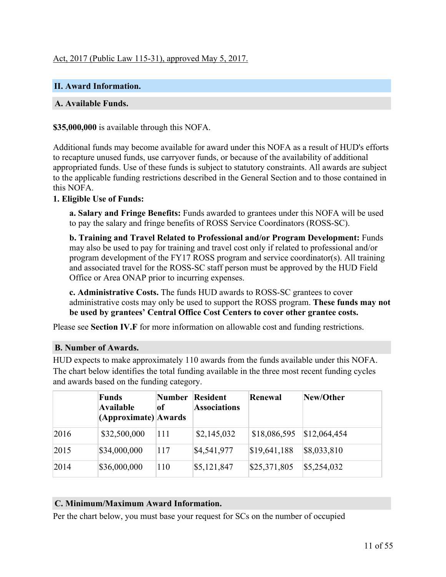# Act, 2017 (Public Law 115-31), approved May 5, 2017.

#### <span id="page-12-0"></span>**II. Award Information.**

#### **A. Available Funds.**

**\$35,000,000** is available through this NOFA.

Additional funds may become available for award under this NOFA as a result of HUD's efforts to recapture unused funds, use carryover funds, or because of the availability of additional appropriated funds. Use of these funds is subject to statutory constraints. All awards are subject to the applicable funding restrictions described in the General Section and to those contained in this NOFA.

#### **1. Eligible Use of Funds:**

**a. Salary and Fringe Benefits:** Funds awarded to grantees under this NOFA will be used to pay the salary and fringe benefits of ROSS Service Coordinators (ROSS-SC).

**b. Training and Travel Related to Professional and/or Program Development:** Funds may also be used to pay for training and travel cost only if related to professional and/or program development of the FY17 ROSS program and service coordinator(s). All training and associated travel for the ROSS-SC staff person must be approved by the HUD Field Office or Area ONAP prior to incurring expenses.

**c. Administrative Costs.** The funds HUD awards to ROSS-SC grantees to cover administrative costs may only be used to support the ROSS program. **These funds may not be used by grantees' Central Office Cost Centers to cover other grantee costs.**

Please see **Section IV.F** for more information on allowable cost and funding restrictions.

#### **B. Number of Awards.**

HUD expects to make approximately 110 awards from the funds available under this NOFA. The chart below identifies the total funding available in the three most recent funding cycles and awards based on the funding category.

|      | <b>Funds</b><br>Available<br>(Approximate) Awards | Number<br>of | <b>Resident</b><br><b>Associations</b> | Renewal      | New/Other    |
|------|---------------------------------------------------|--------------|----------------------------------------|--------------|--------------|
| 2016 | \$32,500,000                                      | 111          | \$2,145,032                            | \$18,086,595 | \$12,064,454 |
| 2015 | \$34,000,000                                      | 117          | \$4,541,977                            | \$19,641,188 | \$8,033,810  |
| 2014 | \$36,000,000                                      | 110          | \$5,121,847                            | \$25,371,805 | \$5,254,032  |

#### **C. Minimum/Maximum Award Information.**

Per the chart below, you must base your request for SCs on the number of occupied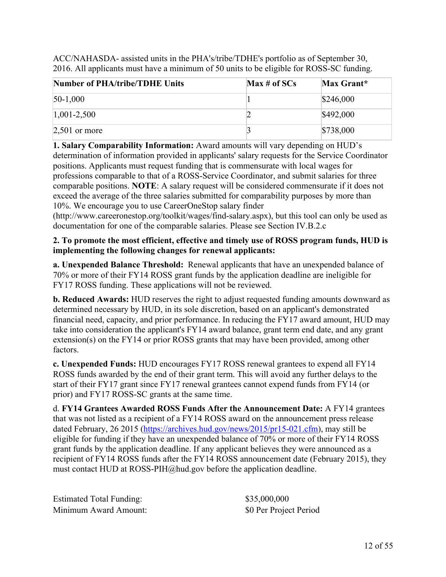ACC/NAHASDA- assisted units in the PHA's/tribe/TDHE's portfolio as of September 30, 2016. All applicants must have a minimum of 50 units to be eligible for ROSS-SC funding.

| Number of PHA/tribe/TDHE Units | Max # of SCs | Max Grant* |
|--------------------------------|--------------|------------|
| $50-1,000$                     |              | \$246,000  |
| $ 1,001-2,500 $                |              | \$492,000  |
| $2,501$ or more                |              | \$738,000  |

**1. Salary Comparability Information:** Award amounts will vary depending on HUD's determination of information provided in applicants' salary requests for the Service Coordinator positions. Applicants must request funding that is commensurate with local wages for professions comparable to that of a ROSS-Service Coordinator, and submit salaries for three comparable positions. **NOTE**: A salary request will be considered commensurate if it does not exceed the average of the three salaries submitted for comparability purposes by more than 10%. We encourage you to use CareerOneStop salary finder

(http://www.careeronestop.org/toolkit/wages/find-salary.aspx), but this tool can only be used as documentation for one of the comparable salaries. Please see Section IV.B.2.c

## **2. To promote the most efficient, effective and timely use of ROSS program funds, HUD is implementing the following changes for renewal applicants:**

**a. Unexpended Balance Threshold:** Renewal applicants that have an unexpended balance of 70% or more of their FY14 ROSS grant funds by the application deadline are ineligible for FY17 ROSS funding. These applications will not be reviewed.

**b. Reduced Awards:** HUD reserves the right to adjust requested funding amounts downward as determined necessary by HUD, in its sole discretion, based on an applicant's demonstrated financial need, capacity, and prior performance. In reducing the FY17 award amount, HUD may take into consideration the applicant's FY14 award balance, grant term end date, and any grant extension(s) on the FY14 or prior ROSS grants that may have been provided, among other factors.

**c. Unexpended Funds:** HUD encourages FY17 ROSS renewal grantees to expend all FY14 ROSS funds awarded by the end of their grant term. This will avoid any further delays to the start of their FY17 grant since FY17 renewal grantees cannot expend funds from FY14 (or prior) and FY17 ROSS-SC grants at the same time.

d. **FY14 Grantees Awarded ROSS Funds After the Announcement Date:** A FY14 grantees that was not listed as a recipient of a FY14 ROSS award on the announcement press release dated February, 26 2015 [\(https://archives.hud.gov/news/2015/pr15-021.cfm\)](https://archives.hud.gov/news/2015/pr15-021.cfm), may still be eligible for funding if they have an unexpended balance of 70% or more of their FY14 ROSS grant funds by the application deadline. If any applicant believes they were announced as a recipient of FY14 ROSS funds after the FY14 ROSS announcement date (February 2015), they must contact HUD at ROSS-PIH@hud.gov before the application deadline.

Estimated Total Funding:  $$35,000,000$ Minimum Award Amount: \$0 Per Project Period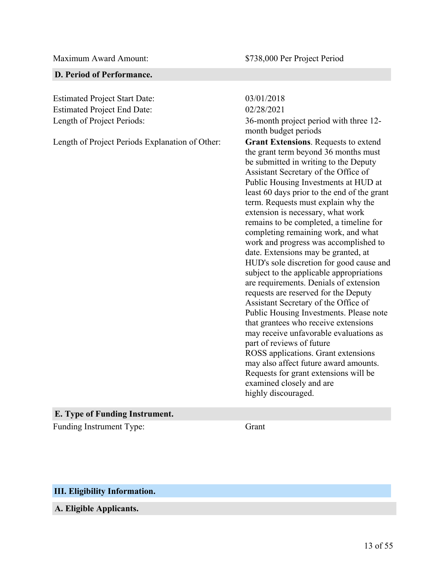#### **D. Period of Performance.**

Estimated Project Start Date: 03/01/2018 Estimated Project End Date: 02/28/2021

Length of Project Periods Explanation of Other: **Grant Extensions**. Requests to extend

Length of Project Periods: 36-month project period with three 12 month budget periods the grant term beyond 36 months must be submitted in writing to the Deputy Assistant Secretary of the Office of Public Housing Investments at HUD at least 60 days prior to the end of the grant term. Requests must explain why the extension is necessary, what work remains to be completed, a timeline for completing remaining work, and what work and progress was accomplished to date. Extensions may be granted, at HUD's sole discretion for good cause and subject to the applicable appropriations are requirements. Denials of extension requests are reserved for the Deputy Assistant Secretary of the Office of Public Housing Investments. Please note that grantees who receive extensions may receive unfavorable evaluations as part of reviews of future ROSS applications. Grant extensions may also affect future award amounts. Requests for grant extensions will be examined closely and are highly discouraged.

#### **E. Type of Funding Instrument.**

Funding Instrument Type: Grant

#### <span id="page-14-0"></span>**III. Eligibility Information.**

**A. Eligible Applicants.**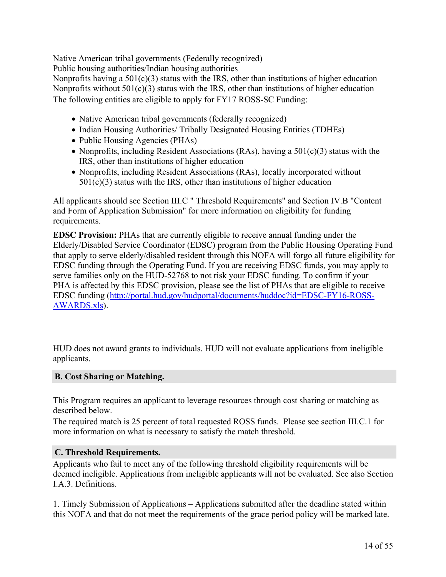Native American tribal governments (Federally recognized)

Public housing authorities/Indian housing authorities

Nonprofits having a  $501(c)(3)$  status with the IRS, other than institutions of higher education Nonprofits without  $501(c)(3)$  status with the IRS, other than institutions of higher education The following entities are eligible to apply for FY17 ROSS-SC Funding:

- Native American tribal governments (federally recognized)
- Indian Housing Authorities/ Tribally Designated Housing Entities (TDHEs)
- Public Housing Agencies (PHAs)
- Nonprofits, including Resident Associations (RAs), having a  $501(c)(3)$  status with the IRS, other than institutions of higher education
- Nonprofits, including Resident Associations (RAs), locally incorporated without  $501(c)(3)$  status with the IRS, other than institutions of higher education

All applicants should see Section III.C " Threshold Requirements" and Section IV.B "Content and Form of Application Submission" for more information on eligibility for funding requirements.

**EDSC Provision:** PHAs that are currently eligible to receive annual funding under the Elderly/Disabled Service Coordinator (EDSC) program from the Public Housing Operating Fund that apply to serve elderly/disabled resident through this NOFA will forgo all future eligibility for EDSC funding through the Operating Fund. If you are receiving EDSC funds, you may apply to serve families only on the HUD-52768 to not risk your EDSC funding. To confirm if your PHA is affected by this EDSC provision, please see the list of PHAs that are eligible to receive EDSC funding ([http://portal.hud.gov/hudportal/documents/huddoc?id=EDSC-FY16-ROSS-](http://portal.hud.gov/hudportal/documents/huddoc?id=EDSC-FY16-ROSS-AWARDS.xls)[AWARDS.xls\)](http://portal.hud.gov/hudportal/documents/huddoc?id=EDSC-FY16-ROSS-AWARDS.xls).

HUD does not award grants to individuals. HUD will not evaluate applications from ineligible applicants.

## **B. Cost Sharing or Matching.**

This Program requires an applicant to leverage resources through cost sharing or matching as described below.

The required match is 25 percent of total requested ROSS funds. Please see section III.C.1 for more information on what is necessary to satisfy the match threshold.

## **C. Threshold Requirements.**

Applicants who fail to meet any of the following threshold eligibility requirements will be deemed ineligible. Applications from ineligible applicants will not be evaluated. See also Section I.A.3. Definitions.

1. Timely Submission of Applications – Applications submitted after the deadline stated within this NOFA and that do not meet the requirements of the grace period policy will be marked late.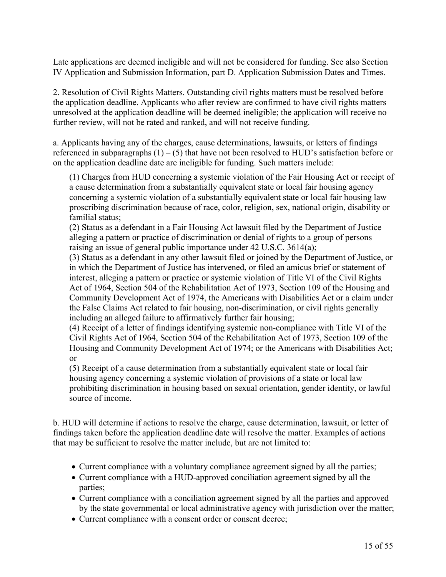Late applications are deemed ineligible and will not be considered for funding. See also Section IV Application and Submission Information, part D. Application Submission Dates and Times.

2. Resolution of Civil Rights Matters. Outstanding civil rights matters must be resolved before the application deadline. Applicants who after review are confirmed to have civil rights matters unresolved at the application deadline will be deemed ineligible; the application will receive no further review, will not be rated and ranked, and will not receive funding.

a. Applicants having any of the charges, cause determinations, lawsuits, or letters of findings referenced in subparagraphs  $(1) - (5)$  that have not been resolved to HUD's satisfaction before or on the application deadline date are ineligible for funding. Such matters include:

(1) Charges from HUD concerning a systemic violation of the Fair Housing Act or receipt of a cause determination from a substantially equivalent state or local fair housing agency concerning a systemic violation of a substantially equivalent state or local fair housing law proscribing discrimination because of race, color, religion, sex, national origin, disability or familial status;

(2) Status as a defendant in a Fair Housing Act lawsuit filed by the Department of Justice alleging a pattern or practice of discrimination or denial of rights to a group of persons raising an issue of general public importance under 42 U.S.C. 3614(a);

(3) Status as a defendant in any other lawsuit filed or joined by the Department of Justice, or in which the Department of Justice has intervened, or filed an amicus brief or statement of interest, alleging a pattern or practice or systemic violation of Title VI of the Civil Rights Act of 1964, Section 504 of the Rehabilitation Act of 1973, Section 109 of the Housing and Community Development Act of 1974, the Americans with Disabilities Act or a claim under the False Claims Act related to fair housing, non-discrimination, or civil rights generally including an alleged failure to affirmatively further fair housing;

(4) Receipt of a letter of findings identifying systemic non-compliance with Title VI of the Civil Rights Act of 1964, Section 504 of the Rehabilitation Act of 1973, Section 109 of the Housing and Community Development Act of 1974; or the Americans with Disabilities Act; or

(5) Receipt of a cause determination from a substantially equivalent state or local fair housing agency concerning a systemic violation of provisions of a state or local law prohibiting discrimination in housing based on sexual orientation, gender identity, or lawful source of income.

b. HUD will determine if actions to resolve the charge, cause determination, lawsuit, or letter of findings taken before the application deadline date will resolve the matter. Examples of actions that may be sufficient to resolve the matter include, but are not limited to:

- Current compliance with a voluntary compliance agreement signed by all the parties;
- Current compliance with a HUD-approved conciliation agreement signed by all the parties;
- Current compliance with a conciliation agreement signed by all the parties and approved by the state governmental or local administrative agency with jurisdiction over the matter;
- Current compliance with a consent order or consent decree;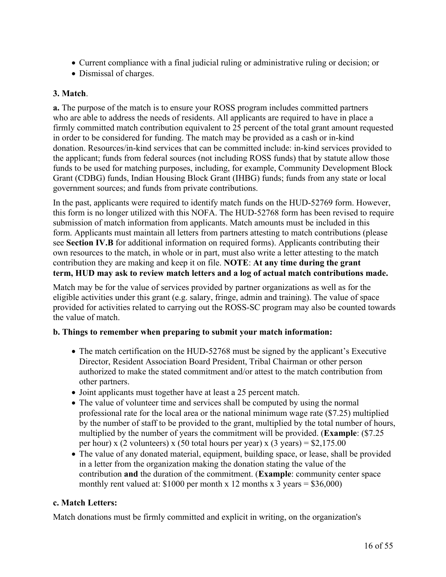- Current compliance with a final judicial ruling or administrative ruling or decision; or
- Dismissal of charges.

#### **3. Match**.

**a.** The purpose of the match is to ensure your ROSS program includes committed partners who are able to address the needs of residents. All applicants are required to have in place a firmly committed match contribution equivalent to 25 percent of the total grant amount requested in order to be considered for funding. The match may be provided as a cash or in-kind donation. Resources/in-kind services that can be committed include: in-kind services provided to the applicant; funds from federal sources (not including ROSS funds) that by statute allow those funds to be used for matching purposes, including, for example, Community Development Block Grant (CDBG) funds, Indian Housing Block Grant (IHBG) funds; funds from any state or local government sources; and funds from private contributions.

In the past, applicants were required to identify match funds on the HUD-52769 form. However, this form is no longer utilized with this NOFA. The HUD-52768 form has been revised to require submission of match information from applicants. Match amounts must be included in this form. Applicants must maintain all letters from partners attesting to match contributions (please see **Section IV.B** for additional information on required forms). Applicants contributing their own resources to the match, in whole or in part, must also write a letter attesting to the match contribution they are making and keep it on file. **NOTE**: **At any time during the grant term, HUD may ask to review match letters and a log of actual match contributions made.**

Match may be for the value of services provided by partner organizations as well as for the eligible activities under this grant (e.g. salary, fringe, admin and training). The value of space provided for activities related to carrying out the ROSS-SC program may also be counted towards the value of match.

## **b. Things to remember when preparing to submit your match information:**

- The match certification on the HUD-52768 must be signed by the applicant's Executive Director, Resident Association Board President, Tribal Chairman or other person authorized to make the stated commitment and/or attest to the match contribution from other partners.
- Joint applicants must together have at least a 25 percent match.
- The value of volunteer time and services shall be computed by using the normal professional rate for the local area or the national minimum wage rate (\$7.25) multiplied by the number of staff to be provided to the grant, multiplied by the total number of hours, multiplied by the number of years the commitment will be provided. (**Example**: (\$7.25 per hour) x (2 volunteers) x (50 total hours per year) x (3 years) =  $$2,175.00$
- The value of any donated material, equipment, building space, or lease, shall be provided in a letter from the organization making the donation stating the value of the contribution **and** the duration of the commitment. (**Example**: community center space monthly rent valued at:  $$1000$  per month x 12 months x 3 years =  $$36,000$ )

## **c. Match Letters:**

Match donations must be firmly committed and explicit in writing, on the organization's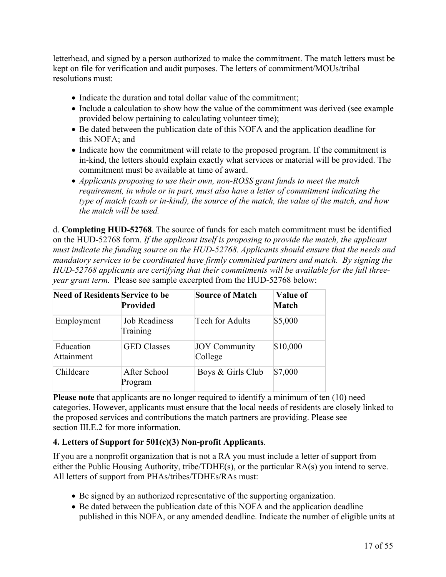letterhead, and signed by a person authorized to make the commitment. The match letters must be kept on file for verification and audit purposes. The letters of commitment/MOUs/tribal resolutions must:

- Indicate the duration and total dollar value of the commitment:
- Include a calculation to show how the value of the commitment was derived (see example provided below pertaining to calculating volunteer time);
- Be dated between the publication date of this NOFA and the application deadline for this NOFA; and
- Indicate how the commitment will relate to the proposed program. If the commitment is in-kind, the letters should explain exactly what services or material will be provided. The commitment must be available at time of award.
- *Applicants proposing to use their own, non-ROSS grant funds to meet the match requirement, in whole or in part, must also have a letter of commitment indicating the type of match (cash or in-kind), the source of the match, the value of the match, and how the match will be used.*

d. **Completing HUD-52768**. The source of funds for each match commitment must be identified on the HUD-52768 form. *If the applicant itself is proposing to provide the match, the applicant must indicate the funding source on the HUD-52768. Applicants should ensure that the needs and mandatory services to be coordinated have firmly committed partners and match. By signing the HUD-52768 applicants are certifying that their commitments will be available for the full threeyear grant term.* Please see sample excerpted from the HUD-52768 below:

| <b>Need of Residents Service to be</b> | Provided                  | <b>Source of Match</b>          | Value of<br><b>Match</b> |
|----------------------------------------|---------------------------|---------------------------------|--------------------------|
| Employment                             | Job Readiness<br>Training | Tech for Adults                 | \$5,000                  |
| Education<br>Attainment                | <b>GED</b> Classes        | <b>JOY Community</b><br>College | \$10,000                 |
| Childcare                              | After School<br>Program   | Boys & Girls Club               | \$7,000                  |

**Please note** that applicants are no longer required to identify a minimum of ten (10) need categories. However, applicants must ensure that the local needs of residents are closely linked to the proposed services and contributions the match partners are providing. Please see section III.E.2 for more information.

## **4. Letters of Support for 501(c)(3) Non-profit Applicants**.

If you are a nonprofit organization that is not a RA you must include a letter of support from either the Public Housing Authority, tribe/TDHE(s), or the particular RA(s) you intend to serve. All letters of support from PHAs/tribes/TDHEs/RAs must:

- Be signed by an authorized representative of the supporting organization.
- Be dated between the publication date of this NOFA and the application deadline published in this NOFA, or any amended deadline. Indicate the number of eligible units at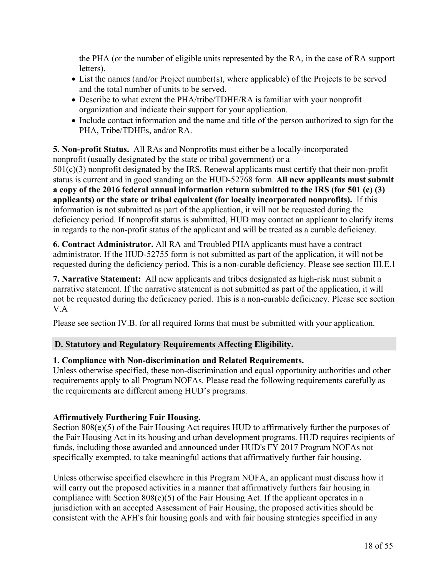the PHA (or the number of eligible units represented by the RA, in the case of RA support letters).

- List the names (and/or Project number(s), where applicable) of the Projects to be served and the total number of units to be served.
- Describe to what extent the PHA/tribe/TDHE/RA is familiar with your nonprofit organization and indicate their support for your application.
- Include contact information and the name and title of the person authorized to sign for the PHA, Tribe/TDHEs, and/or RA.

#### **5. Non-profit Status.** All RAs and Nonprofits must either be a locally-incorporated nonprofit (usually designated by the state or tribal government) or a

501(c)(3) nonprofit designated by the IRS. Renewal applicants must certify that their non-profit status is current and in good standing on the HUD-52768 form. **All new applicants must submit a copy of the 2016 federal annual information return submitted to the IRS (for 501 (c) (3) applicants) or the state or tribal equivalent (for locally incorporated nonprofits).** If this information is not submitted as part of the application, it will not be requested during the deficiency period. If nonprofit status is submitted, HUD may contact an applicant to clarify items in regards to the non-profit status of the applicant and will be treated as a curable deficiency.

**6. Contract Administrator.** All RA and Troubled PHA applicants must have a contract administrator. If the HUD-52755 form is not submitted as part of the application, it will not be requested during the deficiency period. This is a non-curable deficiency. Please see section III.E.1

**7. Narrative Statement:** All new applicants and tribes designated as high-risk must submit a narrative statement. If the narrative statement is not submitted as part of the application, it will not be requested during the deficiency period. This is a non-curable deficiency. Please see section V.A

Please see section IV.B. for all required forms that must be submitted with your application.

# **D. Statutory and Regulatory Requirements Affecting Eligibility.**

## **1. Compliance with Non-discrimination and Related Requirements.**

Unless otherwise specified, these non-discrimination and equal opportunity authorities and other requirements apply to all Program NOFAs. Please read the following requirements carefully as the requirements are different among HUD's programs.

# **Affirmatively Furthering Fair Housing.**

Section 808(e)(5) of the Fair Housing Act requires HUD to affirmatively further the purposes of the Fair Housing Act in its housing and urban development programs. HUD requires recipients of funds, including those awarded and announced under HUD's FY 2017 Program NOFAs not specifically exempted, to take meaningful actions that affirmatively further fair housing.

Unless otherwise specified elsewhere in this Program NOFA, an applicant must discuss how it will carry out the proposed activities in a manner that affirmatively furthers fair housing in compliance with Section 808(e)(5) of the Fair Housing Act. If the applicant operates in a jurisdiction with an accepted Assessment of Fair Housing, the proposed activities should be consistent with the AFH's fair housing goals and with fair housing strategies specified in any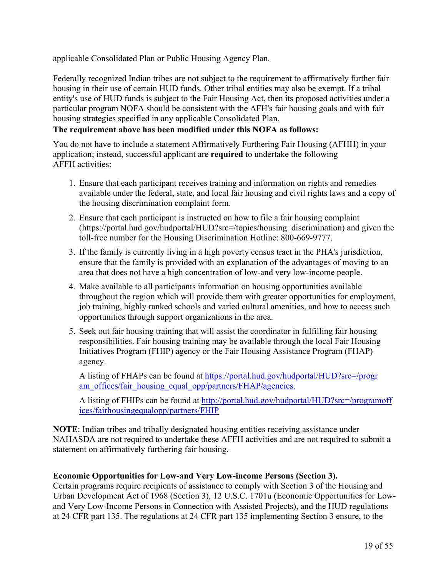applicable Consolidated Plan or Public Housing Agency Plan.

Federally recognized Indian tribes are not subject to the requirement to affirmatively further fair housing in their use of certain HUD funds. Other tribal entities may also be exempt. If a tribal entity's use of HUD funds is subject to the Fair Housing Act, then its proposed activities under a particular program NOFA should be consistent with the AFH's fair housing goals and with fair housing strategies specified in any applicable Consolidated Plan.

# **The requirement above has been modified under this NOFA as follows:**

You do not have to include a statement Affirmatively Furthering Fair Housing (AFHH) in your application; instead, successful applicant are **required** to undertake the following AFFH activities:

- 1. Ensure that each participant receives training and information on rights and remedies available under the federal, state, and local fair housing and civil rights laws and a copy of the housing discrimination complaint form.
- 2. Ensure that each participant is instructed on how to file a fair housing complaint (https://portal.hud.gov/hudportal/HUD?src=/topics/housing\_discrimination) and given the toll-free number for the Housing Discrimination Hotline: 800-669-9777.
- 3. If the family is currently living in a high poverty census tract in the PHA's jurisdiction, ensure that the family is provided with an explanation of the advantages of moving to an area that does not have a high concentration of low-and very low-income people.
- 4. Make available to all participants information on housing opportunities available throughout the region which will provide them with greater opportunities for employment, job training, highly ranked schools and varied cultural amenities, and how to access such opportunities through support organizations in the area.
- 5. Seek out fair housing training that will assist the coordinator in fulfilling fair housing responsibilities. Fair housing training may be available through the local Fair Housing Initiatives Program (FHIP) agency or the Fair Housing Assistance Program (FHAP) agency.

A listing of FHAPs can be found at [https://portal.hud.gov/hudportal/HUD?src=/progr](https://portal.hud.gov/hudportal/HUD?src=/program_offices/fair_housing_equal_opp/partners/FHAP/agencies.) [am\\_offices/fair\\_housing\\_equal\\_opp/partners/FHAP/agencies.](https://portal.hud.gov/hudportal/HUD?src=/program_offices/fair_housing_equal_opp/partners/FHAP/agencies.)

A listing of FHIPs can be found at [http://portal.hud.gov/hudportal/HUD?src=/programoff](http://portal.hud.gov/hudportal/HUD?src=/programoffices/fairhousingequalopp/partners/FHIP) [ices/fairhousingequalopp/partners/FHIP](http://portal.hud.gov/hudportal/HUD?src=/programoffices/fairhousingequalopp/partners/FHIP)

**NOTE**: Indian tribes and tribally designated housing entities receiving assistance under NAHASDA are not required to undertake these AFFH activities and are not required to submit a statement on affirmatively furthering fair housing.

## **Economic Opportunities for Low-and Very Low-income Persons (Section 3).**

Certain programs require recipients of assistance to comply with Section 3 of the Housing and Urban Development Act of 1968 (Section 3), 12 U.S.C. 1701u (Economic Opportunities for Lowand Very Low-Income Persons in Connection with Assisted Projects), and the HUD regulations at 24 CFR part 135. The regulations at 24 CFR part 135 implementing Section 3 ensure, to the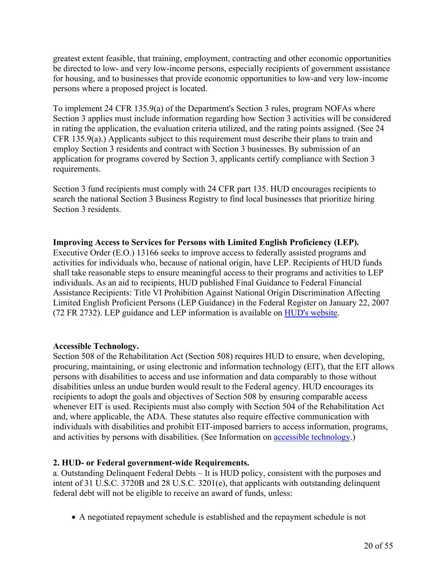greatest extent feasible, that training, employment, contracting and other economic opportunities be directed to low- and very low-income persons, especially recipients of government assistance for housing, and to businesses that provide economic opportunities to low-and very low-income persons where a proposed project is located.

To implement 24 CFR 135.9(a) of the Department's Section 3 rules, program NOFAs where Section 3 applies must include information regarding how Section 3 activities will be considered in rating the application, the evaluation criteria utilized, and the rating points assigned. (See 24 CFR 135.9(a).) Applicants subject to this requirement must describe their plans to train and employ Section 3 residents and contract with Section 3 businesses. By submission of an application for programs covered by Section 3, applicants certify compliance with Section 3 requirements.

Section 3 fund recipients must comply with 24 CFR part 135. HUD encourages recipients to search the national Section 3 Business Registry to find local businesses that prioritize hiring Section 3 residents.

#### **Improving Access to Services for Persons with Limited English Proficiency (LEP).**

Executive Order (E.O.) 13166 seeks to improve access to federally assisted programs and activities for individuals who, because of national origin, have LEP. Recipients of HUD funds shall take reasonable steps to ensure meaningful access to their programs and activities to LEP individuals. As an aid to recipients, HUD published Final Guidance to Federal Financial Assistance Recipients: Title VI Prohibition Against National Origin Discrimination Affecting Limited English Proficient Persons (LEP Guidance) in the Federal Register on January 22, 2007 (72 FR 2732). LEP guidance and LEP information is available on HUD's [website](http://portal.hud.gov/hudportal/HUD?src=/program_offices/fair_housing_equal_opp/promotingfh/lep-faq).

## **Accessible Technology.**

Section 508 of the Rehabilitation Act (Section 508) requires HUD to ensure, when developing, procuring, maintaining, or using electronic and information technology (EIT), that the EIT allows persons with disabilities to access and use information and data comparably to those without disabilities unless an undue burden would result to the Federal agency. HUD encourages its recipients to adopt the goals and objectives of Section 508 by ensuring comparable access whenever EIT is used. Recipients must also comply with Section 504 of the Rehabilitation Act and, where applicable, the ADA. These statutes also require effective communication with individuals with disabilities and prohibit EIT-imposed barriers to access information, programs, and activities by persons with disabilities. (See Information on accessible [technology.](http://www.section508.gov/))

## **2. HUD- or Federal government-wide Requirements.**

a. Outstanding Delinquent Federal Debts – It is HUD policy, consistent with the purposes and intent of 31 U.S.C. 3720B and 28 U.S.C. 3201(e), that applicants with outstanding delinquent federal debt will not be eligible to receive an award of funds, unless:

A negotiated repayment schedule is established and the repayment schedule is not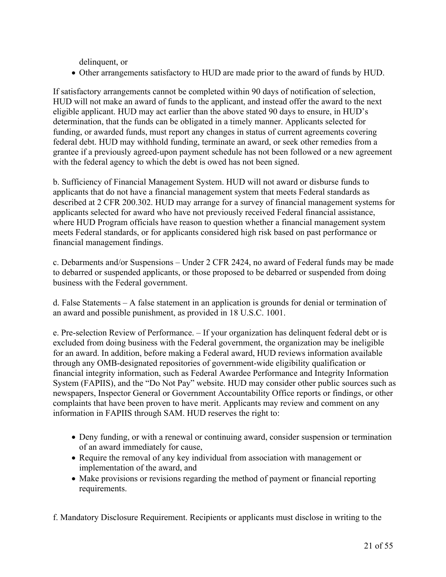delinquent, or

Other arrangements satisfactory to HUD are made prior to the award of funds by HUD.

If satisfactory arrangements cannot be completed within 90 days of notification of selection, HUD will not make an award of funds to the applicant, and instead offer the award to the next eligible applicant. HUD may act earlier than the above stated 90 days to ensure, in HUD's determination, that the funds can be obligated in a timely manner. Applicants selected for funding, or awarded funds, must report any changes in status of current agreements covering federal debt. HUD may withhold funding, terminate an award, or seek other remedies from a grantee if a previously agreed-upon payment schedule has not been followed or a new agreement with the federal agency to which the debt is owed has not been signed.

b. Sufficiency of Financial Management System. HUD will not award or disburse funds to applicants that do not have a financial management system that meets Federal standards as described at 2 CFR 200.302. HUD may arrange for a survey of financial management systems for applicants selected for award who have not previously received Federal financial assistance, where HUD Program officials have reason to question whether a financial management system meets Federal standards, or for applicants considered high risk based on past performance or financial management findings.

c. Debarments and/or Suspensions – Under 2 CFR 2424, no award of Federal funds may be made to debarred or suspended applicants, or those proposed to be debarred or suspended from doing business with the Federal government.

d. False Statements – A false statement in an application is grounds for denial or termination of an award and possible punishment, as provided in 18 U.S.C. 1001.

e. Pre-selection Review of Performance. – If your organization has delinquent federal debt or is excluded from doing business with the Federal government, the organization may be ineligible for an award. In addition, before making a Federal award, HUD reviews information available through any OMB-designated repositories of government-wide eligibility qualification or financial integrity information, such as Federal Awardee Performance and Integrity Information System (FAPIIS), and the "Do Not Pay" website. HUD may consider other public sources such as newspapers, Inspector General or Government Accountability Office reports or findings, or other complaints that have been proven to have merit. Applicants may review and comment on any information in FAPIIS through SAM. HUD reserves the right to:

- Deny funding, or with a renewal or continuing award, consider suspension or termination of an award immediately for cause,
- Require the removal of any key individual from association with management or implementation of the award, and
- Make provisions or revisions regarding the method of payment or financial reporting requirements.

f. Mandatory Disclosure Requirement. Recipients or applicants must disclose in writing to the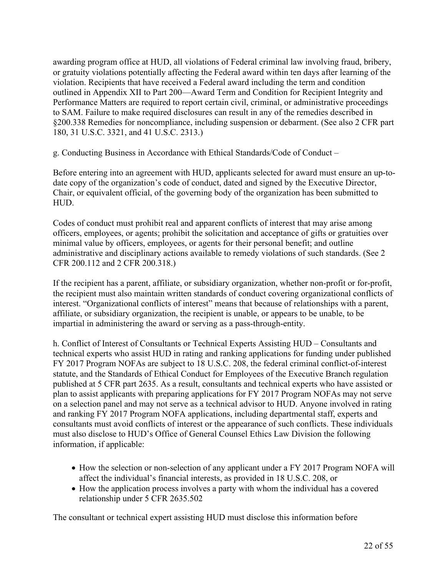awarding program office at HUD, all violations of Federal criminal law involving fraud, bribery, or gratuity violations potentially affecting the Federal award within ten days after learning of the violation. Recipients that have received a Federal award including the term and condition outlined in Appendix XII to Part 200—Award Term and Condition for Recipient Integrity and Performance Matters are required to report certain civil, criminal, or administrative proceedings to SAM. Failure to make required disclosures can result in any of the remedies described in §200.338 Remedies for noncompliance, including suspension or debarment. (See also 2 CFR part 180, 31 U.S.C. 3321, and 41 U.S.C. 2313.)

g. Conducting Business in Accordance with Ethical Standards/Code of Conduct –

Before entering into an agreement with HUD, applicants selected for award must ensure an up-todate copy of the organization's code of conduct, dated and signed by the Executive Director, Chair, or equivalent official, of the governing body of the organization has been submitted to HUD.

Codes of conduct must prohibit real and apparent conflicts of interest that may arise among officers, employees, or agents; prohibit the solicitation and acceptance of gifts or gratuities over minimal value by officers, employees, or agents for their personal benefit; and outline administrative and disciplinary actions available to remedy violations of such standards. (See 2 CFR 200.112 and 2 CFR 200.318.)

If the recipient has a parent, affiliate, or subsidiary organization, whether non-profit or for-profit, the recipient must also maintain written standards of conduct covering organizational conflicts of interest. "Organizational conflicts of interest" means that because of relationships with a parent, affiliate, or subsidiary organization, the recipient is unable, or appears to be unable, to be impartial in administering the award or serving as a pass-through-entity.

h. Conflict of Interest of Consultants or Technical Experts Assisting HUD – Consultants and technical experts who assist HUD in rating and ranking applications for funding under published FY 2017 Program NOFAs are subject to 18 U.S.C. 208, the federal criminal conflict-of-interest statute, and the Standards of Ethical Conduct for Employees of the Executive Branch regulation published at 5 CFR part 2635. As a result, consultants and technical experts who have assisted or plan to assist applicants with preparing applications for FY 2017 Program NOFAs may not serve on a selection panel and may not serve as a technical advisor to HUD. Anyone involved in rating and ranking FY 2017 Program NOFA applications, including departmental staff, experts and consultants must avoid conflicts of interest or the appearance of such conflicts. These individuals must also disclose to HUD's Office of General Counsel Ethics Law Division the following information, if applicable:

- How the selection or non-selection of any applicant under a FY 2017 Program NOFA will affect the individual's financial interests, as provided in 18 U.S.C. 208, or
- How the application process involves a party with whom the individual has a covered relationship under 5 CFR 2635.502

The consultant or technical expert assisting HUD must disclose this information before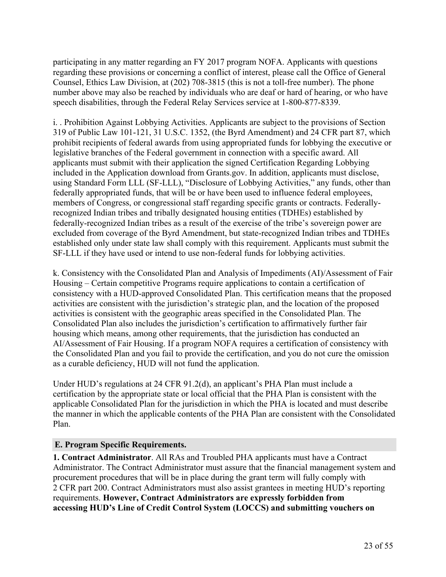participating in any matter regarding an FY 2017 program NOFA. Applicants with questions regarding these provisions or concerning a conflict of interest, please call the Office of General Counsel, Ethics Law Division, at (202) 708-3815 (this is not a toll-free number). The phone number above may also be reached by individuals who are deaf or hard of hearing, or who have speech disabilities, through the Federal Relay Services service at 1-800-877-8339.

i. . Prohibition Against Lobbying Activities. Applicants are subject to the provisions of Section 319 of Public Law 101-121, 31 U.S.C. 1352, (the Byrd Amendment) and 24 CFR part 87, which prohibit recipients of federal awards from using appropriated funds for lobbying the executive or legislative branches of the Federal government in connection with a specific award. All applicants must submit with their application the signed Certification Regarding Lobbying included in the Application download from Grants.gov. In addition, applicants must disclose, using Standard Form LLL (SF-LLL), "Disclosure of Lobbying Activities," any funds, other than federally appropriated funds, that will be or have been used to influence federal employees, members of Congress, or congressional staff regarding specific grants or contracts. Federallyrecognized Indian tribes and tribally designated housing entities (TDHEs) established by federally-recognized Indian tribes as a result of the exercise of the tribe's sovereign power are excluded from coverage of the Byrd Amendment, but state-recognized Indian tribes and TDHEs established only under state law shall comply with this requirement. Applicants must submit the SF-LLL if they have used or intend to use non-federal funds for lobbying activities.

k. Consistency with the Consolidated Plan and Analysis of Impediments (AI)/Assessment of Fair Housing – Certain competitive Programs require applications to contain a certification of consistency with a HUD-approved Consolidated Plan. This certification means that the proposed activities are consistent with the jurisdiction's strategic plan, and the location of the proposed activities is consistent with the geographic areas specified in the Consolidated Plan. The Consolidated Plan also includes the jurisdiction's certification to affirmatively further fair housing which means, among other requirements, that the jurisdiction has conducted an AI/Assessment of Fair Housing. If a program NOFA requires a certification of consistency with the Consolidated Plan and you fail to provide the certification, and you do not cure the omission as a curable deficiency, HUD will not fund the application.

Under HUD's regulations at 24 CFR 91.2(d), an applicant's PHA Plan must include a certification by the appropriate state or local official that the PHA Plan is consistent with the applicable Consolidated Plan for the jurisdiction in which the PHA is located and must describe the manner in which the applicable contents of the PHA Plan are consistent with the Consolidated Plan.

## **E. Program Specific Requirements.**

**1. Contract Administrator**. All RAs and Troubled PHA applicants must have a Contract Administrator. The Contract Administrator must assure that the financial management system and procurement procedures that will be in place during the grant term will fully comply with 2 CFR part 200. Contract Administrators must also assist grantees in meeting HUD's reporting requirements. **However, Contract Administrators are expressly forbidden from accessing HUD's Line of Credit Control System (LOCCS) and submitting vouchers on**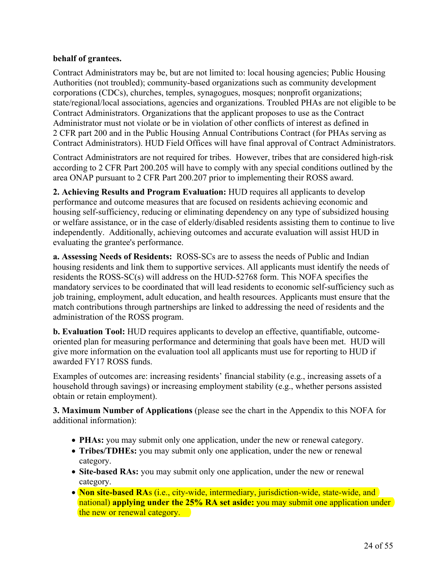## **behalf of grantees.**

Contract Administrators may be, but are not limited to: local housing agencies; Public Housing Authorities (not troubled); community-based organizations such as community development corporations (CDCs), churches, temples, synagogues, mosques; nonprofit organizations; state/regional/local associations, agencies and organizations. Troubled PHAs are not eligible to be Contract Administrators. Organizations that the applicant proposes to use as the Contract Administrator must not violate or be in violation of other conflicts of interest as defined in 2 CFR part 200 and in the Public Housing Annual Contributions Contract (for PHAs serving as Contract Administrators). HUD Field Offices will have final approval of Contract Administrators.

Contract Administrators are not required for tribes. However, tribes that are considered high-risk according to 2 CFR Part 200.205 will have to comply with any special conditions outlined by the area ONAP pursuant to 2 CFR Part 200.207 prior to implementing their ROSS award.

**2. Achieving Results and Program Evaluation:** HUD requires all applicants to develop performance and outcome measures that are focused on residents achieving economic and housing self-sufficiency, reducing or eliminating dependency on any type of subsidized housing or welfare assistance, or in the case of elderly/disabled residents assisting them to continue to live independently. Additionally, achieving outcomes and accurate evaluation will assist HUD in evaluating the grantee's performance.

**a. Assessing Needs of Residents:** ROSS-SCs are to assess the needs of Public and Indian housing residents and link them to supportive services. All applicants must identify the needs of residents the ROSS-SC(s) will address on the HUD-52768 form. This NOFA specifies the mandatory services to be coordinated that will lead residents to economic self-sufficiency such as job training, employment, adult education, and health resources. Applicants must ensure that the match contributions through partnerships are linked to addressing the need of residents and the administration of the ROSS program.

**b. Evaluation Tool:** HUD requires applicants to develop an effective, quantifiable, outcomeoriented plan for measuring performance and determining that goals have been met. HUD will give more information on the evaluation tool all applicants must use for reporting to HUD if awarded FY17 ROSS funds.

Examples of outcomes are: increasing residents' financial stability (e.g., increasing assets of a household through savings) or increasing employment stability (e.g., whether persons assisted obtain or retain employment).

**3. Maximum Number of Applications** (please see the chart in the Appendix to this NOFA for additional information):

- **PHAs:** you may submit only one application, under the new or renewal category.
- **Tribes/TDHEs:** you may submit only one application, under the new or renewal category.
- **Site-based RAs:** you may submit only one application, under the new or renewal category.
- **Non site-based RA**s (i.e., city-wide, intermediary, jurisdiction-wide, state-wide, and national) **applying under the 25% RA set aside:** you may submit one application under the new or renewal category.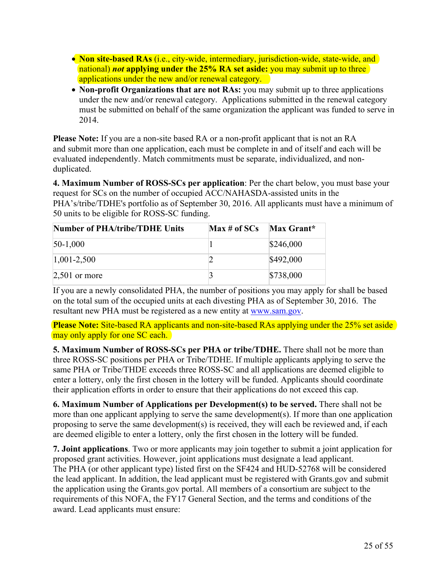- **Non site-based RAs** (i.e., city-wide, intermediary, jurisdiction-wide, state-wide, and national) *not* **applying under the 25% RA set aside:** you may submit up to three applications under the new and/or renewal category.
- **Non-profit Organizations that are not RAs:** you may submit up to three applications under the new and/or renewal category. Applications submitted in the renewal category must be submitted on behalf of the same organization the applicant was funded to serve in 2014.

**Please Note:** If you are a non-site based RA or a non-profit applicant that is not an RA and submit more than one application, each must be complete in and of itself and each will be evaluated independently. Match commitments must be separate, individualized, and nonduplicated.

**4. Maximum Number of ROSS-SCs per application**: Per the chart below, you must base your request for SCs on the number of occupied ACC/NAHASDA-assisted units in the PHA's/tribe/TDHE's portfolio as of September 30, 2016. All applicants must have a minimum of 50 units to be eligible for ROSS-SC funding.

| <b>Number of PHA/tribe/TDHE Units</b> | Max # of SCs | Max Grant* |
|---------------------------------------|--------------|------------|
| $50-1,000$                            |              | \$246,000  |
| $ 1,001-2,500$                        |              | \$492,000  |
| $2,501$ or more                       |              | \$738,000  |

If you are a newly consolidated PHA, the number of positions you may apply for shall be based on the total sum of the occupied units at each divesting PHA as of September 30, 2016. The resultant new PHA must be registered as a new entity at [www.sam.gov.](http://www.sam.gov)

**Please Note:** Site-based RA applicants and non-site-based RAs applying under the 25% set aside may only apply for one SC each.

**5. Maximum Number of ROSS-SCs per PHA or tribe/TDHE.** There shall not be more than three ROSS-SC positions per PHA or Tribe/TDHE. If multiple applicants applying to serve the same PHA or Tribe/THDE exceeds three ROSS-SC and all applications are deemed eligible to enter a lottery, only the first chosen in the lottery will be funded. Applicants should coordinate their application efforts in order to ensure that their applications do not exceed this cap.

**6. Maximum Number of Applications per Development(s) to be served.** There shall not be more than one applicant applying to serve the same development(s). If more than one application proposing to serve the same development(s) is received, they will each be reviewed and, if each are deemed eligible to enter a lottery, only the first chosen in the lottery will be funded.

**7. Joint applications**. Two or more applicants may join together to submit a joint application for proposed grant activities. However, joint applications must designate a lead applicant. The PHA (or other applicant type) listed first on the SF424 and HUD-52768 will be considered the lead applicant. In addition, the lead applicant must be registered with Grants.gov and submit the application using the Grants.gov portal. All members of a consortium are subject to the requirements of this NOFA, the FY17 General Section, and the terms and conditions of the award. Lead applicants must ensure: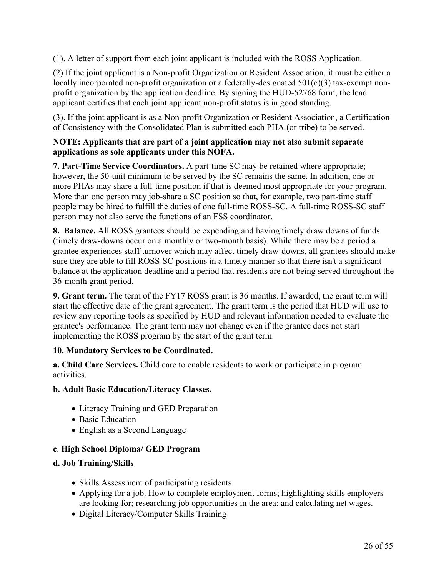(1). A letter of support from each joint applicant is included with the ROSS Application.

(2) If the joint applicant is a Non-profit Organization or Resident Association, it must be either a locally incorporated non-profit organization or a federally-designated 501(c)(3) tax-exempt nonprofit organization by the application deadline. By signing the HUD-52768 form, the lead applicant certifies that each joint applicant non-profit status is in good standing.

(3). If the joint applicant is as a Non-profit Organization or Resident Association, a Certification of Consistency with the Consolidated Plan is submitted each PHA (or tribe) to be served.

#### **NOTE: Applicants that are part of a joint application may not also submit separate applications as sole applicants under this NOFA.**

**7. Part-Time Service Coordinators.** A part-time SC may be retained where appropriate; however, the 50-unit minimum to be served by the SC remains the same. In addition, one or more PHAs may share a full-time position if that is deemed most appropriate for your program. More than one person may job-share a SC position so that, for example, two part-time staff people may be hired to fulfill the duties of one full-time ROSS-SC. A full-time ROSS-SC staff person may not also serve the functions of an FSS coordinator.

**8. Balance.** All ROSS grantees should be expending and having timely draw downs of funds (timely draw-downs occur on a monthly or two-month basis). While there may be a period a grantee experiences staff turnover which may affect timely draw-downs, all grantees should make sure they are able to fill ROSS-SC positions in a timely manner so that there isn't a significant balance at the application deadline and a period that residents are not being served throughout the 36-month grant period.

**9. Grant term.** The term of the FY17 ROSS grant is 36 months. If awarded, the grant term will start the effective date of the grant agreement. The grant term is the period that HUD will use to review any reporting tools as specified by HUD and relevant information needed to evaluate the grantee's performance. The grant term may not change even if the grantee does not start implementing the ROSS program by the start of the grant term.

## **10. Mandatory Services to be Coordinated.**

**a. Child Care Services.** Child care to enable residents to work or participate in program activities.

## **b. Adult Basic Education/Literacy Classes.**

- Literacy Training and GED Preparation
- Basic Education
- English as a Second Language

# **c**. **High School Diploma/ GED Program**

# **d. Job Training/Skills**

- Skills Assessment of participating residents
- Applying for a job. How to complete employment forms; highlighting skills employers are looking for; researching job opportunities in the area; and calculating net wages.
- Digital Literacy/Computer Skills Training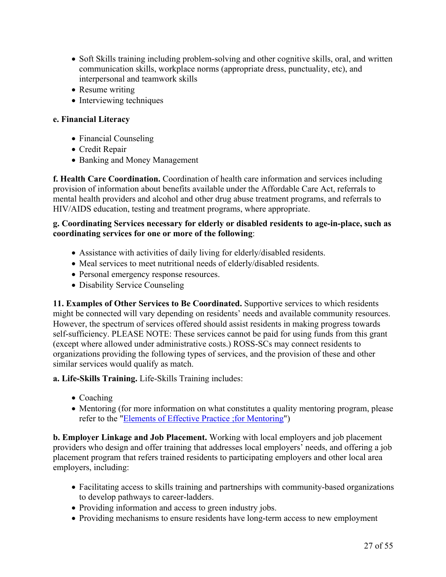- Soft Skills training including problem-solving and other cognitive skills, oral, and written communication skills, workplace norms (appropriate dress, punctuality, etc), and interpersonal and teamwork skills
- Resume writing
- Interviewing techniques

## **e. Financial Literacy**

- Financial Counseling
- Credit Repair
- Banking and Money Management

**f. Health Care Coordination.** Coordination of health care information and services including provision of information about benefits available under the Affordable Care Act, referrals to mental health providers and alcohol and other drug abuse treatment programs, and referrals to HIV/AIDS education, testing and treatment programs, where appropriate.

#### **g. Coordinating Services necessary for elderly or disabled residents to age-in-place, such as coordinating services for one or more of the following**:

- Assistance with activities of daily living for elderly/disabled residents.
- Meal services to meet nutritional needs of elderly/disabled residents.
- Personal emergency response resources.
- Disability Service Counseling

**11. Examples of Other Services to Be Coordinated.** Supportive services to which residents might be connected will vary depending on residents' needs and available community resources. However, the spectrum of services offered should assist residents in making progress towards self-sufficiency. PLEASE NOTE: These services cannot be paid for using funds from this grant (except where allowed under administrative costs.) ROSS-SCs may connect residents to organizations providing the following types of services, and the provision of these and other similar services would qualify as match.

**a. Life-Skills Training.** Life-Skills Training includes:

- Coaching
- Mentoring (for more information on what constitutes a quality mentoring program, please refer to the "Elements of Effective Practice ;for [Mentoring"](http://www.mentoring.org/program-resources/elements-of-effective-practice-for-mentoring/))

**b. Employer Linkage and Job Placement.** Working with local employers and job placement providers who design and offer training that addresses local employers' needs, and offering a job placement program that refers trained residents to participating employers and other local area employers, including:

- Facilitating access to skills training and partnerships with community-based organizations to develop pathways to career-ladders.
- Providing information and access to green industry jobs.
- Providing mechanisms to ensure residents have long-term access to new employment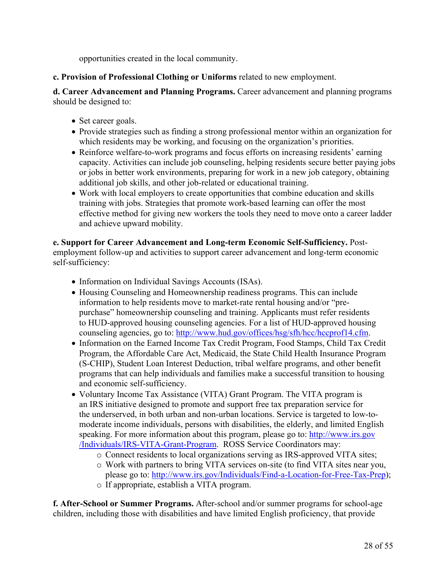opportunities created in the local community.

**c. Provision of Professional Clothing or Uniforms** related to new employment.

**d. Career Advancement and Planning Programs.** Career advancement and planning programs should be designed to:

- Set career goals.
- Provide strategies such as finding a strong professional mentor within an organization for which residents may be working, and focusing on the organization's priorities.
- Reinforce welfare-to-work programs and focus efforts on increasing residents' earning capacity. Activities can include job counseling, helping residents secure better paying jobs or jobs in better work environments, preparing for work in a new job category, obtaining additional job skills, and other job-related or educational training.
- Work with local employers to create opportunities that combine education and skills training with jobs. Strategies that promote work-based learning can offer the most effective method for giving new workers the tools they need to move onto a career ladder and achieve upward mobility.

**e. Support for Career Advancement and Long-term Economic Self-Sufficiency.** Postemployment follow-up and activities to support career advancement and long-term economic self-sufficiency:

- Information on Individual Savings Accounts (ISAs).
- Housing Counseling and Homeownership readiness programs. This can include information to help residents move to market-rate rental housing and/or "prepurchase" homeownership counseling and training. Applicants must refer residents to HUD-approved housing counseling agencies. For a list of HUD-approved housing counseling agencies, go to: [http://www.hud.gov/offices/hsg/sfh/hcc/hccprof14.cfm.](http://www.hud.gov/offices/hsg/sfh/hcc/hccprof14.cfm)
- Information on the Earned Income Tax Credit Program, Food Stamps, Child Tax Credit Program, the Affordable Care Act, Medicaid, the State Child Health Insurance Program (S-CHIP), Student Loan Interest Deduction, tribal welfare programs, and other benefit programs that can help individuals and families make a successful transition to housing and economic self-sufficiency.
- Voluntary Income Tax Assistance (VITA) Grant Program. The VITA program is an IRS initiative designed to promote and support free tax preparation service for the underserved, in both urban and non-urban locations. Service is targeted to low-tomoderate income individuals, persons with disabilities, the elderly, and limited English speaking. For more information about this program, please go to: [http://www.irs.gov](http://www.irs.gov/Individuals/IRS-VITA-Grant-Program) [/Individuals/IRS-VITA-Grant-Program](http://www.irs.gov/Individuals/IRS-VITA-Grant-Program). ROSS Service Coordinators may:
	- o Connect residents to local organizations serving as IRS-approved VITA sites;
	- o Work with partners to bring VITA services on-site (to find VITA sites near you, please go to: [http://www.irs.gov/Individuals/Find-a-Location-for-Free-Tax-Prep\)](http://www.irs.gov/Individuals/Find-a-Location-for-Free-Tax-Prep); o If appropriate, establish a VITA program.

**f. After-School or Summer Programs.** After-school and/or summer programs for school-age children, including those with disabilities and have limited English proficiency, that provide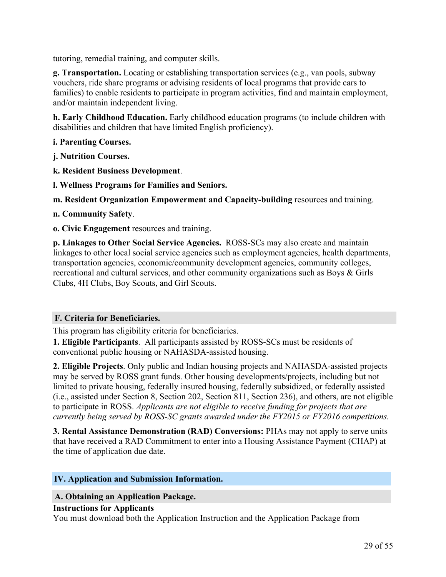tutoring, remedial training, and computer skills.

**g. Transportation.** Locating or establishing transportation services (e.g., van pools, subway vouchers, ride share programs or advising residents of local programs that provide cars to families) to enable residents to participate in program activities, find and maintain employment, and/or maintain independent living.

**h. Early Childhood Education.** Early childhood education programs (to include children with disabilities and children that have limited English proficiency).

## **i. Parenting Courses.**

**j. Nutrition Courses.**

- **k. Resident Business Development**.
- **l. Wellness Programs for Families and Seniors.**

**m. Resident Organization Empowerment and Capacity-building** resources and training.

- **n. Community Safety**.
- **o. Civic Engagement** resources and training.

**p. Linkages to Other Social Service Agencies.** ROSS-SCs may also create and maintain linkages to other local social service agencies such as employment agencies, health departments, transportation agencies, economic/community development agencies, community colleges, recreational and cultural services, and other community organizations such as Boys & Girls Clubs, 4H Clubs, Boy Scouts, and Girl Scouts.

## **F. Criteria for Beneficiaries.**

This program has eligibility criteria for beneficiaries.

**1. Eligible Participants**. All participants assisted by ROSS-SCs must be residents of conventional public housing or NAHASDA-assisted housing.

**2. Eligible Projects**. Only public and Indian housing projects and NAHASDA-assisted projects may be served by ROSS grant funds. Other housing developments/projects, including but not limited to private housing, federally insured housing, federally subsidized, or federally assisted (i.e., assisted under Section 8, Section 202, Section 811, Section 236), and others, are not eligible to participate in ROSS. *Applicants are not eligible to receive funding for projects that are currently being served by ROSS-SC grants awarded under the FY2015 or FY2016 competitions.*

**3. Rental Assistance Demonstration (RAD) Conversions:** PHAs may not apply to serve units that have received a RAD Commitment to enter into a Housing Assistance Payment (CHAP) at the time of application due date.

## <span id="page-30-0"></span>**IV. Application and Submission Information.**

## **A. Obtaining an Application Package.**

#### **Instructions for Applicants**

You must download both the Application Instruction and the Application Package from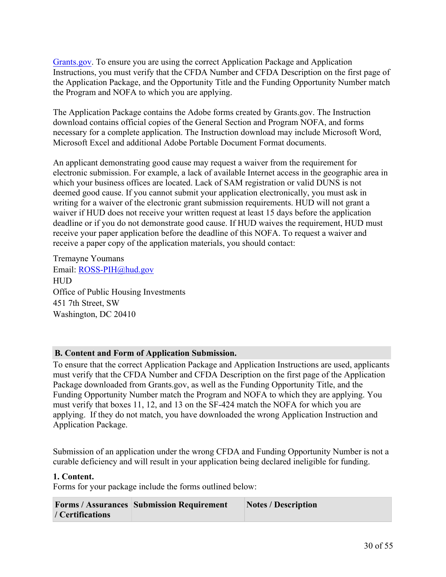[Grants.gov.](https://www.grants.gov/) To ensure you are using the correct Application Package and Application Instructions, you must verify that the CFDA Number and CFDA Description on the first page of the Application Package, and the Opportunity Title and the Funding Opportunity Number match the Program and NOFA to which you are applying.

The Application Package contains the Adobe forms created by Grants.gov. The Instruction download contains official copies of the General Section and Program NOFA, and forms necessary for a complete application. The Instruction download may include Microsoft Word, Microsoft Excel and additional Adobe Portable Document Format documents.

An applicant demonstrating good cause may request a waiver from the requirement for electronic submission. For example, a lack of available Internet access in the geographic area in which your business offices are located. Lack of SAM registration or valid DUNS is not deemed good cause. If you cannot submit your application electronically, you must ask in writing for a waiver of the electronic grant submission requirements. HUD will not grant a waiver if HUD does not receive your written request at least 15 days before the application deadline or if you do not demonstrate good cause. If HUD waives the requirement, HUD must receive your paper application before the deadline of this NOFA. To request a waiver and receive a paper copy of the application materials, you should contact:

Tremayne Youmans Email: [ROSS-PIH@hud.gov](mailto:ROSS-PIH@hud.gov) HUD Office of Public Housing Investments 451 7th Street, SW Washington, DC 20410

## **B. Content and Form of Application Submission.**

To ensure that the correct Application Package and Application Instructions are used, applicants must verify that the CFDA Number and CFDA Description on the first page of the Application Package downloaded from Grants.gov, as well as the Funding Opportunity Title, and the Funding Opportunity Number match the Program and NOFA to which they are applying. You must verify that boxes 11, 12, and 13 on the SF-424 match the NOFA for which you are applying. If they do not match, you have downloaded the wrong Application Instruction and Application Package.

Submission of an application under the wrong CFDA and Funding Opportunity Number is not a curable deficiency and will result in your application being declared ineligible for funding.

## **1. Content.**

Forms for your package include the forms outlined below:

|                  | <b>Forms / Assurances Submission Requirement</b> | <b>Notes / Description</b> |
|------------------|--------------------------------------------------|----------------------------|
| / Certifications |                                                  |                            |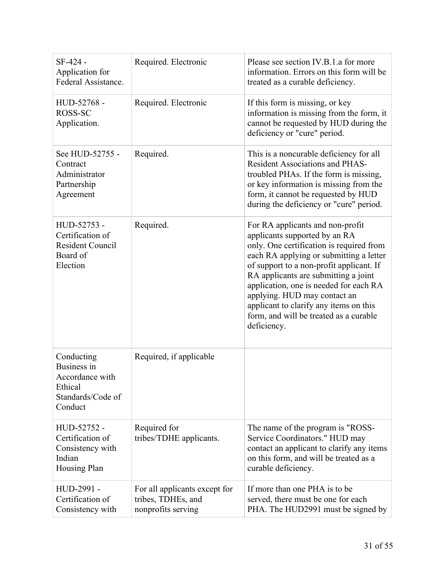| SF-424 -<br>Application for<br>Federal Assistance.                                      | Required. Electronic                                                      | Please see section IV.B.1.a for more<br>information. Errors on this form will be<br>treated as a curable deficiency.                                                                                                                                                                                                                                                                                                      |
|-----------------------------------------------------------------------------------------|---------------------------------------------------------------------------|---------------------------------------------------------------------------------------------------------------------------------------------------------------------------------------------------------------------------------------------------------------------------------------------------------------------------------------------------------------------------------------------------------------------------|
| HUD-52768 -<br>ROSS-SC<br>Application.                                                  | Required. Electronic                                                      | If this form is missing, or key<br>information is missing from the form, it<br>cannot be requested by HUD during the<br>deficiency or "cure" period.                                                                                                                                                                                                                                                                      |
| See HUD-52755 -<br>Contract<br>Administrator<br>Partnership<br>Agreement                | Required.                                                                 | This is a noncurable deficiency for all<br><b>Resident Associations and PHAS-</b><br>troubled PHAs. If the form is missing,<br>or key information is missing from the<br>form, it cannot be requested by HUD<br>during the deficiency or "cure" period.                                                                                                                                                                   |
| HUD-52753 -<br>Certification of<br><b>Resident Council</b><br>Board of<br>Election      | Required.                                                                 | For RA applicants and non-profit<br>applicants supported by an RA<br>only. One certification is required from<br>each RA applying or submitting a letter<br>of support to a non-profit applicant. If<br>RA applicants are submitting a joint<br>application, one is needed for each RA<br>applying. HUD may contact an<br>applicant to clarify any items on this<br>form, and will be treated as a curable<br>deficiency. |
| Conducting<br>Business in<br>Accordance with<br>Ethical<br>Standards/Code of<br>Conduct | Required, if applicable                                                   |                                                                                                                                                                                                                                                                                                                                                                                                                           |
| HUD-52752 -<br>Certification of<br>Consistency with<br>Indian<br>Housing Plan           | Required for<br>tribes/TDHE applicants.                                   | The name of the program is "ROSS-<br>Service Coordinators." HUD may<br>contact an applicant to clarify any items<br>on this form, and will be treated as a<br>curable deficiency.                                                                                                                                                                                                                                         |
| HUD-2991 -<br>Certification of<br>Consistency with                                      | For all applicants except for<br>tribes, TDHEs, and<br>nonprofits serving | If more than one PHA is to be<br>served, there must be one for each<br>PHA. The HUD2991 must be signed by                                                                                                                                                                                                                                                                                                                 |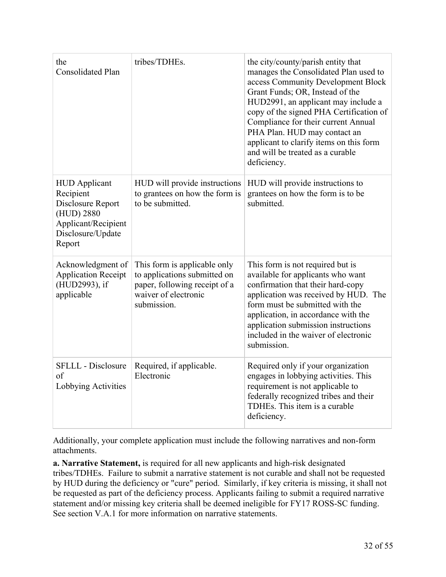| the<br><b>Consolidated Plan</b>                                                                                            | tribes/TDHEs.                                                                                                                        | the city/county/parish entity that<br>manages the Consolidated Plan used to<br>access Community Development Block<br>Grant Funds; OR, Instead of the<br>HUD2991, an applicant may include a<br>copy of the signed PHA Certification of<br>Compliance for their current Annual<br>PHA Plan. HUD may contact an<br>applicant to clarify items on this form<br>and will be treated as a curable<br>deficiency. |
|----------------------------------------------------------------------------------------------------------------------------|--------------------------------------------------------------------------------------------------------------------------------------|-------------------------------------------------------------------------------------------------------------------------------------------------------------------------------------------------------------------------------------------------------------------------------------------------------------------------------------------------------------------------------------------------------------|
| <b>HUD</b> Applicant<br>Recipient<br>Disclosure Report<br>(HUD) 2880<br>Applicant/Recipient<br>Disclosure/Update<br>Report | HUD will provide instructions<br>to grantees on how the form is<br>to be submitted.                                                  | HUD will provide instructions to<br>grantees on how the form is to be<br>submitted.                                                                                                                                                                                                                                                                                                                         |
| Acknowledgment of<br><b>Application Receipt</b><br>(HUD2993), if<br>applicable                                             | This form is applicable only<br>to applications submitted on<br>paper, following receipt of a<br>waiver of electronic<br>submission. | This form is not required but is<br>available for applicants who want<br>confirmation that their hard-copy<br>application was received by HUD. The<br>form must be submitted with the<br>application, in accordance with the<br>application submission instructions<br>included in the waiver of electronic<br>submission.                                                                                  |
| <b>SFLLL</b> - Disclosure<br>of<br>Lobbying Activities                                                                     | Required, if applicable.<br>Electronic                                                                                               | Required only if your organization<br>engages in lobbying activities. This<br>requirement is not applicable to<br>federally recognized tribes and their<br>TDHEs. This item is a curable<br>deficiency.                                                                                                                                                                                                     |

Additionally, your complete application must include the following narratives and non-form attachments.

**a. Narrative Statement,** is required for all new applicants and high-risk designated tribes/TDHEs. Failure to submit a narrative statement is not curable and shall not be requested by HUD during the deficiency or "cure" period. Similarly, if key criteria is missing, it shall not be requested as part of the deficiency process. Applicants failing to submit a required narrative statement and/or missing key criteria shall be deemed ineligible for FY17 ROSS-SC funding. See section V.A.1 for more information on narrative statements.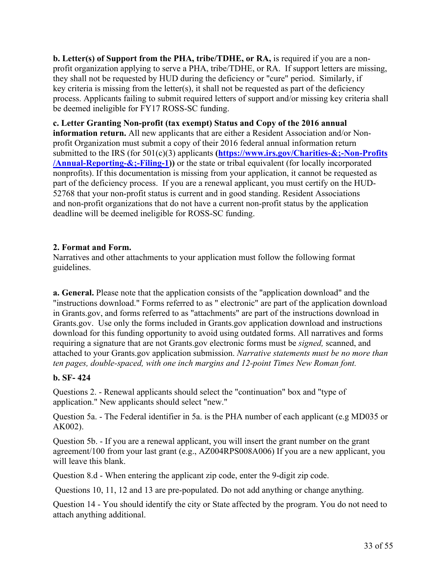**b. Letter(s) of Support from the PHA, tribe/TDHE, or RA,** is required if you are a nonprofit organization applying to serve a PHA, tribe/TDHE, or RA. If support letters are missing, they shall not be requested by HUD during the deficiency or "cure" period. Similarly, if key criteria is missing from the letter(s), it shall not be requested as part of the deficiency process. Applicants failing to submit required letters of support and/or missing key criteria shall be deemed ineligible for FY17 ROSS-SC funding.

**c. Letter Granting Non-profit (tax exempt) Status and Copy of the 2016 annual information return.** All new applicants that are either a Resident Association and/or Nonprofit Organization must submit a copy of their 2016 federal annual information return submitted to the IRS (for 501(c)(3) applicants **([https://www.irs.gov/Charities-&;-Non-Profits](https://www.irs.gov/Charities-&-Non-Profits/Annual-Reporting-&-Filing-1) [/Annual-Reporting-&;-Filing-1](https://www.irs.gov/Charities-&-Non-Profits/Annual-Reporting-&-Filing-1)))** or the state or tribal equivalent (for locally incorporated nonprofits). If this documentation is missing from your application, it cannot be requested as part of the deficiency process. If you are a renewal applicant, you must certify on the HUD-52768 that your non-profit status is current and in good standing. Resident Associations and non-profit organizations that do not have a current non-profit status by the application deadline will be deemed ineligible for ROSS-SC funding.

#### **2. Format and Form.**

Narratives and other attachments to your application must follow the following format guidelines.

**a. General.** Please note that the application consists of the "application download" and the "instructions download." Forms referred to as " electronic" are part of the application download in Grants.gov, and forms referred to as "attachments" are part of the instructions download in Grants.gov. Use only the forms included in Grants.gov application download and instructions download for this funding opportunity to avoid using outdated forms. All narratives and forms requiring a signature that are not Grants.gov electronic forms must be *signed,* scanned, and attached to your Grants.gov application submission. *Narrative statements must be no more than ten pages, double-spaced, with one inch margins and 12-point Times New Roman font.*

## **b. SF- 424**

Questions 2. - Renewal applicants should select the "continuation" box and "type of application." New applicants should select "new."

Question 5a. - The Federal identifier in 5a. is the PHA number of each applicant (e.g MD035 or AK002).

Question 5b. - If you are a renewal applicant, you will insert the grant number on the grant agreement/100 from your last grant (e.g., AZ004RPS008A006) If you are a new applicant, you will leave this blank.

Question 8.d - When entering the applicant zip code, enter the 9-digit zip code.

Questions 10, 11, 12 and 13 are pre-populated. Do not add anything or change anything.

Question 14 - You should identify the city or State affected by the program. You do not need to attach anything additional.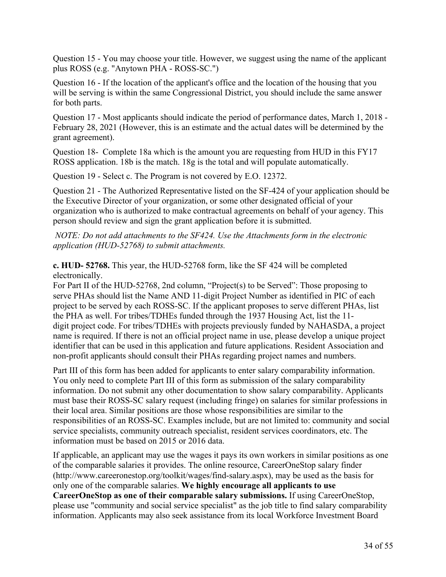Question 15 - You may choose your title. However, we suggest using the name of the applicant plus ROSS (e.g. "Anytown PHA - ROSS-SC.")

Question 16 - If the location of the applicant's office and the location of the housing that you will be serving is within the same Congressional District, you should include the same answer for both parts.

Question 17 - Most applicants should indicate the period of performance dates, March 1, 2018 - February 28, 2021 (However, this is an estimate and the actual dates will be determined by the grant agreement).

Question 18- Complete 18a which is the amount you are requesting from HUD in this FY17 ROSS application. 18b is the match. 18g is the total and will populate automatically.

Question 19 - Select c. The Program is not covered by E.O. 12372.

Question 21 - The Authorized Representative listed on the SF-424 of your application should be the Executive Director of your organization, or some other designated official of your organization who is authorized to make contractual agreements on behalf of your agency. This person should review and sign the grant application before it is submitted.

*NOTE: Do not add attachments to the SF424. Use the Attachments form in the electronic application (HUD-52768) to submit attachments.*

**c. HUD- 52768.** This year, the HUD-52768 form, like the SF 424 will be completed electronically.

For Part II of the HUD-52768, 2nd column, "Project(s) to be Served": Those proposing to serve PHAs should list the Name AND 11-digit Project Number as identified in PIC of each project to be served by each ROSS-SC. If the applicant proposes to serve different PHAs, list the PHA as well. For tribes/TDHEs funded through the 1937 Housing Act, list the 11 digit project code. For tribes/TDHEs with projects previously funded by NAHASDA, a project name is required. If there is not an official project name in use, please develop a unique project identifier that can be used in this application and future applications. Resident Association and non-profit applicants should consult their PHAs regarding project names and numbers.

Part III of this form has been added for applicants to enter salary comparability information. You only need to complete Part III of this form as submission of the salary comparability information. Do not submit any other documentation to show salary comparability. Applicants must base their ROSS-SC salary request (including fringe) on salaries for similar professions in their local area. Similar positions are those whose responsibilities are similar to the responsibilities of an ROSS-SC. Examples include, but are not limited to: community and social service specialists, community outreach specialist, resident services coordinators, etc. The information must be based on 2015 or 2016 data.

If applicable, an applicant may use the wages it pays its own workers in similar positions as one of the comparable salaries it provides. The online resource, CareerOneStop salary finder (http://www.careeronestop.org/toolkit/wages/find-salary.aspx), may be used as the basis for only one of the comparable salaries. **We highly encourage all applicants to use CareerOneStop as one of their comparable salary submissions.** If using CareerOneStop, please use "community and social service specialist" as the job title to find salary comparability information. Applicants may also seek assistance from its local Workforce Investment Board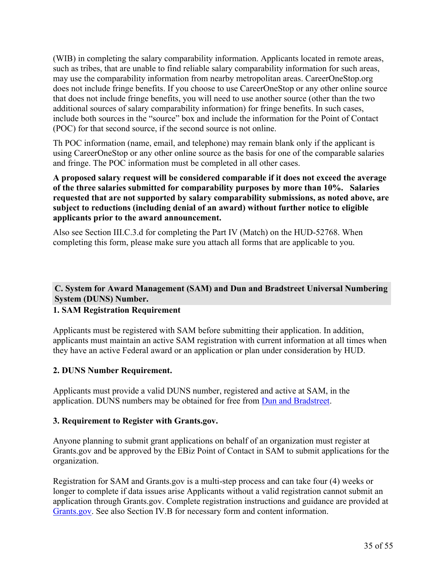(WIB) in completing the salary comparability information. Applicants located in remote areas, such as tribes, that are unable to find reliable salary comparability information for such areas, may use the comparability information from nearby metropolitan areas. CareerOneStop.org does not include fringe benefits. If you choose to use CareerOneStop or any other online source that does not include fringe benefits, you will need to use another source (other than the two additional sources of salary comparability information) for fringe benefits. In such cases, include both sources in the "source" box and include the information for the Point of Contact (POC) for that second source, if the second source is not online.

Th POC information (name, email, and telephone) may remain blank only if the applicant is using CareerOneStop or any other online source as the basis for one of the comparable salaries and fringe. The POC information must be completed in all other cases.

**A proposed salary request will be considered comparable if it does not exceed the average of the three salaries submitted for comparability purposes by more than 10%. Salaries requested that are not supported by salary comparability submissions, as noted above, are subject to reductions (including denial of an award) without further notice to eligible applicants prior to the award announcement.**

Also see Section III.C.3.d for completing the Part IV (Match) on the HUD-52768. When completing this form, please make sure you attach all forms that are applicable to you.

# **C. System for Award Management (SAM) and Dun and Bradstreet Universal Numbering System (DUNS) Number.**

# **1. SAM Registration Requirement**

Applicants must be registered with SAM before submitting their application. In addition, applicants must maintain an active SAM registration with current information at all times when they have an active Federal award or an application or plan under consideration by HUD.

## **2. DUNS Number Requirement.**

Applicants must provide a valid DUNS number, registered and active at SAM, in the application. DUNS numbers may be obtained for free from Dun and [Bradstreet.](https://fedgov.dnb.com/webform)

## **3. Requirement to Register with Grants.gov.**

Anyone planning to submit grant applications on behalf of an organization must register at Grants.gov and be approved by the EBiz Point of Contact in SAM to submit applications for the organization.

Registration for SAM and Grants.gov is a multi-step process and can take four (4) weeks or longer to complete if data issues arise Applicants without a valid registration cannot submit an application through Grants.gov. Complete registration instructions and guidance are provided at [Grants.gov.](https://www.grants.gov/) See also Section IV.B for necessary form and content information.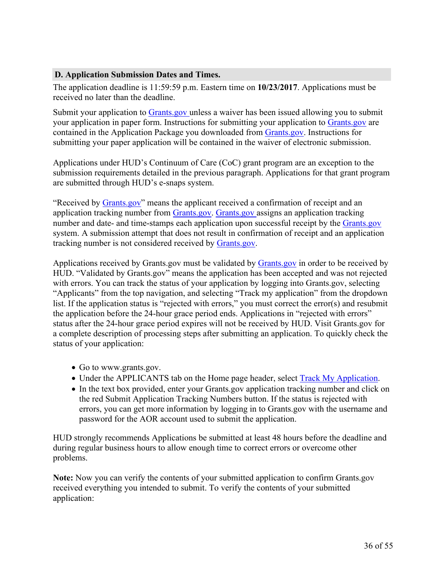#### **D. Application Submission Dates and Times.**

The application deadline is 11:59:59 p.m. Eastern time on **10/23/2017**. Applications must be received no later than the deadline.

Submit your application to [Grants.gov](https://grants.gov/) unless a waiver has been issued allowing you to submit your application in paper form. Instructions for submitting your application to [Grants.gov](https://grants.gov/) are contained in the Application Package you downloaded from [Grants.gov.](https://grants.gov/) Instructions for submitting your paper application will be contained in the waiver of electronic submission.

Applications under HUD's Continuum of Care (CoC) grant program are an exception to the submission requirements detailed in the previous paragraph. Applications for that grant program are submitted through HUD's e-snaps system.

"Received by [Grants.gov"](https://grants.gov/) means the applicant received a confirmation of receipt and an application tracking number from [Grants.gov](https://grants.gov/). [Grants.gov](https://grants.gov/) assigns an application tracking number and date- and time-stamps each application upon successful receipt by the [Grants.gov](https://grants.gov/) system. A submission attempt that does not result in confirmation of receipt and an application tracking number is not considered received by [Grants.gov.](https://grants.gov/)

Applications received by Grants.gov must be validated by [Grants.gov](https://grants.gov/) in order to be received by HUD. "Validated by Grants.gov" means the application has been accepted and was not rejected with errors. You can track the status of your application by logging into Grants.gov, selecting "Applicants" from the top navigation, and selecting "Track my application" from the dropdown list. If the application status is "rejected with errors," you must correct the error(s) and resubmit the application before the 24-hour grace period ends. Applications in "rejected with errors" status after the 24-hour grace period expires will not be received by HUD. Visit Grants.gov for a complete description of processing steps after submitting an application. To quickly check the status of your application:

- Go to www.grants.gov.
- Under the APPLICANTS tab on the Home page header, select **Track My Application**.
- In the text box provided, enter your Grants.gov application tracking number and click on the red Submit Application Tracking Numbers button. If the status is rejected with errors, you can get more information by logging in to Grants.gov with the username and password for the AOR account used to submit the application.

HUD strongly recommends Applications be submitted at least 48 hours before the deadline and during regular business hours to allow enough time to correct errors or overcome other problems.

**Note:** Now you can verify the contents of your submitted application to confirm Grants.gov received everything you intended to submit. To verify the contents of your submitted application: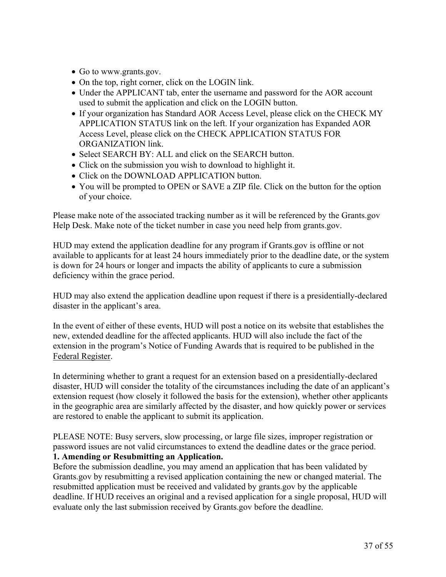- Go to www.grants.gov.
- On the top, right corner, click on the LOGIN link.
- Under the APPLICANT tab, enter the username and password for the AOR account used to submit the application and click on the LOGIN button.
- If your organization has Standard AOR Access Level, please click on the CHECK MY APPLICATION STATUS link on the left. If your organization has Expanded AOR Access Level, please click on the CHECK APPLICATION STATUS FOR ORGANIZATION link.
- Select SEARCH BY: ALL and click on the SEARCH button.
- Click on the submission you wish to download to highlight it.
- Click on the DOWNLOAD APPLICATION button.
- You will be prompted to OPEN or SAVE a ZIP file. Click on the button for the option of your choice.

Please make note of the associated tracking number as it will be referenced by the Grants.gov Help Desk. Make note of the ticket number in case you need help from grants.gov.

HUD may extend the application deadline for any program if Grants.gov is offline or not available to applicants for at least 24 hours immediately prior to the deadline date, or the system is down for 24 hours or longer and impacts the ability of applicants to cure a submission deficiency within the grace period.

HUD may also extend the application deadline upon request if there is a presidentially-declared disaster in the applicant's area.

In the event of either of these events, HUD will post a notice on its website that establishes the new, extended deadline for the affected applicants. HUD will also include the fact of the extension in the program's Notice of Funding Awards that is required to be published in the Federal Register.

In determining whether to grant a request for an extension based on a presidentially-declared disaster, HUD will consider the totality of the circumstances including the date of an applicant's extension request (how closely it followed the basis for the extension), whether other applicants in the geographic area are similarly affected by the disaster, and how quickly power or services are restored to enable the applicant to submit its application.

PLEASE NOTE: Busy servers, slow processing, or large file sizes, improper registration or password issues are not valid circumstances to extend the deadline dates or the grace period.

# **1. Amending or Resubmitting an Application.**

Before the submission deadline, you may amend an application that has been validated by Grants.gov by resubmitting a revised application containing the new or changed material. The resubmitted application must be received and validated by grants.gov by the applicable deadline. If HUD receives an original and a revised application for a single proposal, HUD will evaluate only the last submission received by Grants.gov before the deadline.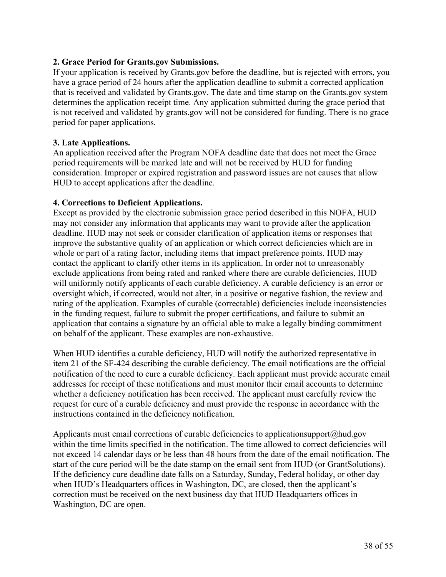## **2. Grace Period for Grants.gov Submissions.**

If your application is received by Grants.gov before the deadline, but is rejected with errors, you have a grace period of 24 hours after the application deadline to submit a corrected application that is received and validated by Grants.gov. The date and time stamp on the Grants.gov system determines the application receipt time. Any application submitted during the grace period that is not received and validated by grants.gov will not be considered for funding. There is no grace period for paper applications.

## **3. Late Applications.**

An application received after the Program NOFA deadline date that does not meet the Grace period requirements will be marked late and will not be received by HUD for funding consideration. Improper or expired registration and password issues are not causes that allow HUD to accept applications after the deadline.

## **4. Corrections to Deficient Applications.**

Except as provided by the electronic submission grace period described in this NOFA, HUD may not consider any information that applicants may want to provide after the application deadline. HUD may not seek or consider clarification of application items or responses that improve the substantive quality of an application or which correct deficiencies which are in whole or part of a rating factor, including items that impact preference points. HUD may contact the applicant to clarify other items in its application. In order not to unreasonably exclude applications from being rated and ranked where there are curable deficiencies, HUD will uniformly notify applicants of each curable deficiency. A curable deficiency is an error or oversight which, if corrected, would not alter, in a positive or negative fashion, the review and rating of the application. Examples of curable (correctable) deficiencies include inconsistencies in the funding request, failure to submit the proper certifications, and failure to submit an application that contains a signature by an official able to make a legally binding commitment on behalf of the applicant. These examples are non-exhaustive.

When HUD identifies a curable deficiency, HUD will notify the authorized representative in item 21 of the SF-424 describing the curable deficiency. The email notifications are the official notification of the need to cure a curable deficiency. Each applicant must provide accurate email addresses for receipt of these notifications and must monitor their email accounts to determine whether a deficiency notification has been received. The applicant must carefully review the request for cure of a curable deficiency and must provide the response in accordance with the instructions contained in the deficiency notification.

Applicants must email corrections of curable deficiencies to applicationsupport@hud.gov within the time limits specified in the notification. The time allowed to correct deficiencies will not exceed 14 calendar days or be less than 48 hours from the date of the email notification. The start of the cure period will be the date stamp on the email sent from HUD (or GrantSolutions). If the deficiency cure deadline date falls on a Saturday, Sunday, Federal holiday, or other day when HUD's Headquarters offices in Washington, DC, are closed, then the applicant's correction must be received on the next business day that HUD Headquarters offices in Washington, DC are open.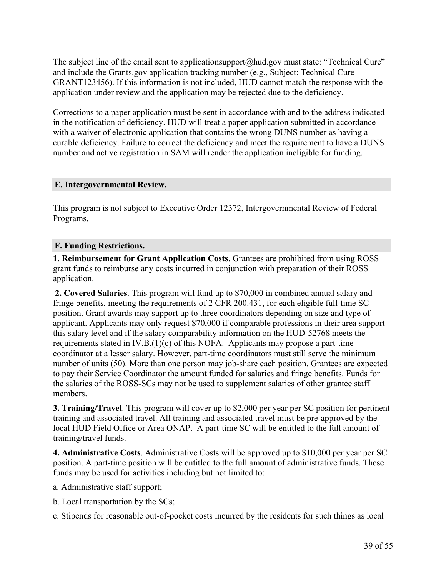The subject line of the email sent to applicationsupport@hud.gov must state: "Technical Cure" and include the Grants.gov application tracking number (e.g., Subject: Technical Cure - GRANT123456). If this information is not included, HUD cannot match the response with the application under review and the application may be rejected due to the deficiency.

Corrections to a paper application must be sent in accordance with and to the address indicated in the notification of deficiency. HUD will treat a paper application submitted in accordance with a waiver of electronic application that contains the wrong DUNS number as having a curable deficiency. Failure to correct the deficiency and meet the requirement to have a DUNS number and active registration in SAM will render the application ineligible for funding.

#### **E. Intergovernmental Review.**

This program is not subject to Executive Order 12372, Intergovernmental Review of Federal Programs.

#### **F. Funding Restrictions.**

**1. Reimbursement for Grant Application Costs**. Grantees are prohibited from using ROSS grant funds to reimburse any costs incurred in conjunction with preparation of their ROSS application.

**2. Covered Salaries**. This program will fund up to \$70,000 in combined annual salary and fringe benefits, meeting the requirements of 2 CFR 200.431, for each eligible full-time SC position. Grant awards may support up to three coordinators depending on size and type of applicant. Applicants may only request \$70,000 if comparable professions in their area support this salary level and if the salary comparability information on the HUD-52768 meets the requirements stated in IV.B.(1)(c) of this NOFA. Applicants may propose a part-time coordinator at a lesser salary. However, part-time coordinators must still serve the minimum number of units (50). More than one person may job-share each position. Grantees are expected to pay their Service Coordinator the amount funded for salaries and fringe benefits. Funds for the salaries of the ROSS-SCs may not be used to supplement salaries of other grantee staff members.

**3. Training/Travel**. This program will cover up to \$2,000 per year per SC position for pertinent training and associated travel. All training and associated travel must be pre-approved by the local HUD Field Office or Area ONAP. A part-time SC will be entitled to the full amount of training/travel funds.

**4. Administrative Costs**. Administrative Costs will be approved up to \$10,000 per year per SC position. A part-time position will be entitled to the full amount of administrative funds. These funds may be used for activities including but not limited to:

- a. Administrative staff support;
- b. Local transportation by the SCs;
- c. Stipends for reasonable out-of-pocket costs incurred by the residents for such things as local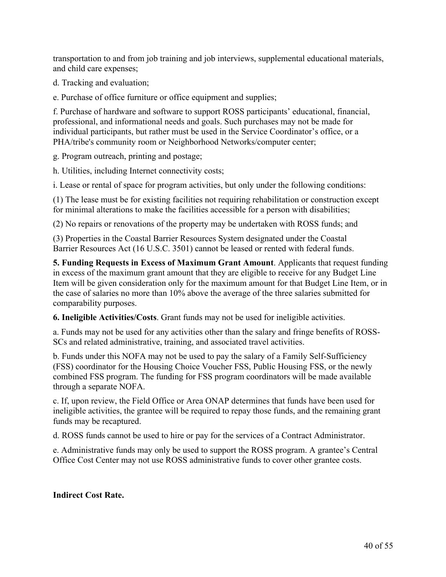transportation to and from job training and job interviews, supplemental educational materials, and child care expenses;

d. Tracking and evaluation;

e. Purchase of office furniture or office equipment and supplies;

f. Purchase of hardware and software to support ROSS participants' educational, financial, professional, and informational needs and goals. Such purchases may not be made for individual participants, but rather must be used in the Service Coordinator's office, or a PHA/tribe's community room or Neighborhood Networks/computer center;

g. Program outreach, printing and postage;

h. Utilities, including Internet connectivity costs;

i. Lease or rental of space for program activities, but only under the following conditions:

(1) The lease must be for existing facilities not requiring rehabilitation or construction except for minimal alterations to make the facilities accessible for a person with disabilities;

(2) No repairs or renovations of the property may be undertaken with ROSS funds; and

(3) Properties in the Coastal Barrier Resources System designated under the Coastal Barrier Resources Act (16 U.S.C. 3501) cannot be leased or rented with federal funds.

**5. Funding Requests in Excess of Maximum Grant Amount**. Applicants that request funding in excess of the maximum grant amount that they are eligible to receive for any Budget Line Item will be given consideration only for the maximum amount for that Budget Line Item, or in the case of salaries no more than 10% above the average of the three salaries submitted for comparability purposes.

**6. Ineligible Activities/Costs**. Grant funds may not be used for ineligible activities.

a. Funds may not be used for any activities other than the salary and fringe benefits of ROSS-SCs and related administrative, training, and associated travel activities.

b. Funds under this NOFA may not be used to pay the salary of a Family Self-Sufficiency (FSS) coordinator for the Housing Choice Voucher FSS, Public Housing FSS, or the newly combined FSS program. The funding for FSS program coordinators will be made available through a separate NOFA.

c. If, upon review, the Field Office or Area ONAP determines that funds have been used for ineligible activities, the grantee will be required to repay those funds, and the remaining grant funds may be recaptured.

d. ROSS funds cannot be used to hire or pay for the services of a Contract Administrator.

e. Administrative funds may only be used to support the ROSS program. A grantee's Central Office Cost Center may not use ROSS administrative funds to cover other grantee costs.

#### **Indirect Cost Rate.**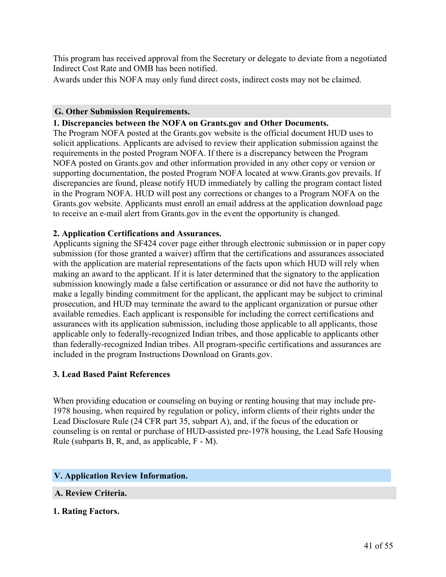This program has received approval from the Secretary or delegate to deviate from a negotiated Indirect Cost Rate and OMB has been notified.

Awards under this NOFA may only fund direct costs, indirect costs may not be claimed.

#### **G. Other Submission Requirements.**

#### **1. Discrepancies between the NOFA on Grants.gov and Other Documents.**

The Program NOFA posted at the Grants.gov website is the official document HUD uses to solicit applications. Applicants are advised to review their application submission against the requirements in the posted Program NOFA. If there is a discrepancy between the Program NOFA posted on Grants.gov and other information provided in any other copy or version or supporting documentation, the posted Program NOFA located at www.Grants.gov prevails. If discrepancies are found, please notify HUD immediately by calling the program contact listed in the Program NOFA. HUD will post any corrections or changes to a Program NOFA on the Grants.gov website. Applicants must enroll an email address at the application download page to receive an e-mail alert from Grants.gov in the event the opportunity is changed.

#### **2. Application Certifications and Assurances.**

Applicants signing the SF424 cover page either through electronic submission or in paper copy submission (for those granted a waiver) affirm that the certifications and assurances associated with the application are material representations of the facts upon which HUD will rely when making an award to the applicant. If it is later determined that the signatory to the application submission knowingly made a false certification or assurance or did not have the authority to make a legally binding commitment for the applicant, the applicant may be subject to criminal prosecution, and HUD may terminate the award to the applicant organization or pursue other available remedies. Each applicant is responsible for including the correct certifications and assurances with its application submission, including those applicable to all applicants, those applicable only to federally-recognized Indian tribes, and those applicable to applicants other than federally-recognized Indian tribes. All program-specific certifications and assurances are included in the program Instructions Download on Grants.gov.

#### **3. Lead Based Paint References**

When providing education or counseling on buying or renting housing that may include pre-1978 housing, when required by regulation or policy, inform clients of their rights under the Lead Disclosure Rule (24 CFR part 35, subpart A), and, if the focus of the education or counseling is on rental or purchase of HUD-assisted pre-1978 housing, the Lead Safe Housing Rule (subparts B, R, and, as applicable, F - M).

#### <span id="page-42-0"></span>**V. Application Review Information.**

#### **A. Review Criteria.**

#### **1. Rating Factors.**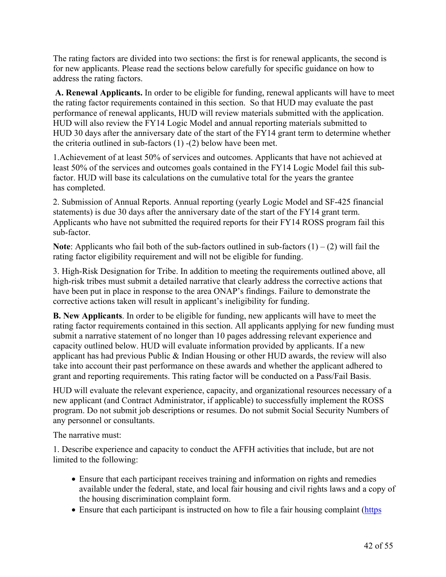The rating factors are divided into two sections: the first is for renewal applicants, the second is for new applicants. Please read the sections below carefully for specific guidance on how to address the rating factors.

**A. Renewal Applicants.** In order to be eligible for funding, renewal applicants will have to meet the rating factor requirements contained in this section. So that HUD may evaluate the past performance of renewal applicants, HUD will review materials submitted with the application. HUD will also review the FY14 Logic Model and annual reporting materials submitted to HUD 30 days after the anniversary date of the start of the FY14 grant term to determine whether the criteria outlined in sub-factors (1) -(2) below have been met.

1.Achievement of at least 50% of services and outcomes. Applicants that have not achieved at least 50% of the services and outcomes goals contained in the FY14 Logic Model fail this subfactor. HUD will base its calculations on the cumulative total for the years the grantee has completed.

2. Submission of Annual Reports. Annual reporting (yearly Logic Model and SF-425 financial statements) is due 30 days after the anniversary date of the start of the FY14 grant term. Applicants who have not submitted the required reports for their FY14 ROSS program fail this sub-factor.

**Note**: Applicants who fail both of the sub-factors outlined in sub-factors  $(1) - (2)$  will fail the rating factor eligibility requirement and will not be eligible for funding.

3. High-Risk Designation for Tribe. In addition to meeting the requirements outlined above, all high-risk tribes must submit a detailed narrative that clearly address the corrective actions that have been put in place in response to the area ONAP's findings. Failure to demonstrate the corrective actions taken will result in applicant's ineligibility for funding.

**B. New Applicants**. In order to be eligible for funding, new applicants will have to meet the rating factor requirements contained in this section. All applicants applying for new funding must submit a narrative statement of no longer than 10 pages addressing relevant experience and capacity outlined below. HUD will evaluate information provided by applicants. If a new applicant has had previous Public & Indian Housing or other HUD awards, the review will also take into account their past performance on these awards and whether the applicant adhered to grant and reporting requirements. This rating factor will be conducted on a Pass/Fail Basis.

HUD will evaluate the relevant experience, capacity, and organizational resources necessary of a new applicant (and Contract Administrator, if applicable) to successfully implement the ROSS program. Do not submit job descriptions or resumes. Do not submit Social Security Numbers of any personnel or consultants.

The narrative must:

1. Describe experience and capacity to conduct the AFFH activities that include, but are not limited to the following:

- Ensure that each participant receives training and information on rights and remedies available under the federal, state, and local fair housing and civil rights laws and a copy of the housing discrimination complaint form.
- Ensure that each participant is instructed on how to file a fair housing complaint ([https](https://portal.hud.gov/hudportal/HUD?src=/topics/housing_discrimination))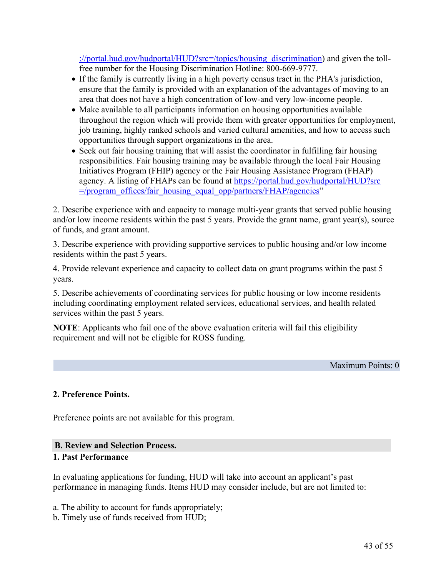[://portal.hud.gov/hudportal/HUD?src=/topics/housing\\_discrimination](https://portal.hud.gov/hudportal/HUD?src=/topics/housing_discrimination)) and given the tollfree number for the Housing Discrimination Hotline: 800-669-9777.

- If the family is currently living in a high poverty census tract in the PHA's jurisdiction, ensure that the family is provided with an explanation of the advantages of moving to an area that does not have a high concentration of low-and very low-income people.
- Make available to all participants information on housing opportunities available throughout the region which will provide them with greater opportunities for employment, job training, highly ranked schools and varied cultural amenities, and how to access such opportunities through support organizations in the area.
- Seek out fair housing training that will assist the coordinator in fulfilling fair housing responsibilities. Fair housing training may be available through the local Fair Housing Initiatives Program (FHIP) agency or the Fair Housing Assistance Program (FHAP) agency. A listing of FHAPs can be found at [https://portal.hud.gov/hudportal/HUD?src](https://portal.hud.gov/hudportal/HUD?src=/program_offices/fair_housing_equal_opp/partners/FHAP/agencies) [=/program\\_offices/fair\\_housing\\_equal\\_opp/partners/FHAP/agencies"](https://portal.hud.gov/hudportal/HUD?src=/program_offices/fair_housing_equal_opp/partners/FHAP/agencies)

2. Describe experience with and capacity to manage multi-year grants that served public housing and/or low income residents within the past 5 years. Provide the grant name, grant year(s), source of funds, and grant amount.

3. Describe experience with providing supportive services to public housing and/or low income residents within the past 5 years.

4. Provide relevant experience and capacity to collect data on grant programs within the past 5 years.

5. Describe achievements of coordinating services for public housing or low income residents including coordinating employment related services, educational services, and health related services within the past 5 years.

**NOTE**: Applicants who fail one of the above evaluation criteria will fail this eligibility requirement and will not be eligible for ROSS funding.

Maximum Points: 0

#### **2. Preference Points.**

Preference points are not available for this program.

#### **B. Review and Selection Process.**

#### **1. Past Performance**

In evaluating applications for funding, HUD will take into account an applicant's past performance in managing funds. Items HUD may consider include, but are not limited to:

a. The ability to account for funds appropriately;

b. Timely use of funds received from HUD;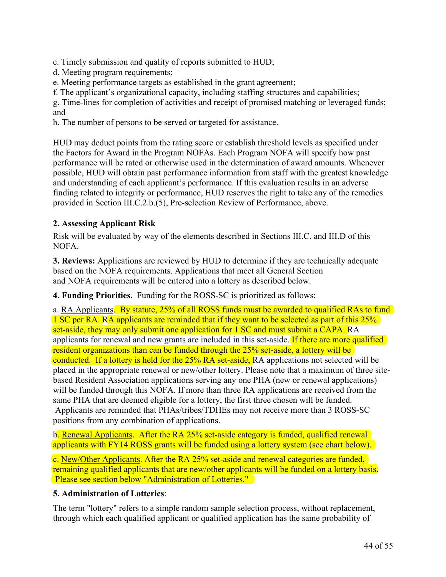c. Timely submission and quality of reports submitted to HUD;

d. Meeting program requirements;

e. Meeting performance targets as established in the grant agreement;

f. The applicant's organizational capacity, including staffing structures and capabilities;

g. Time-lines for completion of activities and receipt of promised matching or leveraged funds; and

h. The number of persons to be served or targeted for assistance.

HUD may deduct points from the rating score or establish threshold levels as specified under the Factors for Award in the Program NOFAs. Each Program NOFA will specify how past performance will be rated or otherwise used in the determination of award amounts. Whenever possible, HUD will obtain past performance information from staff with the greatest knowledge and understanding of each applicant's performance. If this evaluation results in an adverse finding related to integrity or performance, HUD reserves the right to take any of the remedies provided in Section III.C.2.b.(5), Pre-selection Review of Performance, above.

# **2. Assessing Applicant Risk**

Risk will be evaluated by way of the elements described in Sections III.C. and III.D of this NOFA.

**3. Reviews:** Applications are reviewed by HUD to determine if they are technically adequate based on the NOFA requirements. Applications that meet all General Section and NOFA requirements will be entered into a lottery as described below.

**4. Funding Priorities.** Funding for the ROSS-SC is prioritized as follows:

a. RA Applicants. By statute, 25% of all ROSS funds must be awarded to qualified RAs to fund 1 SC per RA. RA applicants are reminded that if they want to be selected as part of this 25% set-aside, they may only submit one application for 1 SC and must submit a CAPA. RA applicants for renewal and new grants are included in this set-aside. If there are more qualified resident organizations than can be funded through the 25% set-aside, a lottery will be conducted. If a lottery is held for the 25% RA set-aside, RA applications not selected will be placed in the appropriate renewal or new/other lottery. Please note that a maximum of three sitebased Resident Association applications serving any one PHA (new or renewal applications) will be funded through this NOFA. If more than three RA applications are received from the same PHA that are deemed eligible for a lottery, the first three chosen will be funded. Applicants are reminded that PHAs/tribes/TDHEs may not receive more than 3 ROSS-SC positions from any combination of applications.

b. Renewal Applicants. After the RA 25% set-aside category is funded, qualified renewal applicants with FY14 ROSS grants will be funded using a lottery system (see chart below).

c. New/Other Applicants. After the RA 25% set-aside and renewal categories are funded, remaining qualified applicants that are new/other applicants will be funded on a lottery basis. Please see section below "Administration of Lotteries."

## **5. Administration of Lotteries**:

The term "lottery" refers to a simple random sample selection process, without replacement, through which each qualified applicant or qualified application has the same probability of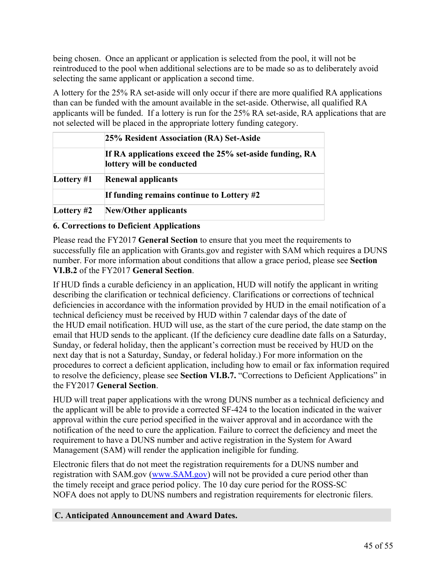being chosen. Once an applicant or application is selected from the pool, it will not be reintroduced to the pool when additional selections are to be made so as to deliberately avoid selecting the same applicant or application a second time.

A lottery for the 25% RA set-aside will only occur if there are more qualified RA applications than can be funded with the amount available in the set-aside. Otherwise, all qualified RA applicants will be funded. If a lottery is run for the 25% RA set-aside, RA applications that are not selected will be placed in the appropriate lottery funding category.

|              | 25% Resident Association (RA) Set-Aside                                              |
|--------------|--------------------------------------------------------------------------------------|
|              | If RA applications exceed the 25% set-aside funding, RA<br>lottery will be conducted |
| Lottery $#1$ | <b>Renewal applicants</b>                                                            |
|              | If funding remains continue to Lottery #2                                            |
| Lottery $#2$ | <b>New/Other applicants</b>                                                          |

## **6. Corrections to Deficient Applications**

Please read the FY2017 **General Section** to ensure that you meet the requirements to successfully file an application with Grants.gov and register with SAM which requires a DUNS number. For more information about conditions that allow a grace period, please see **Section VI.B.2** of the FY2017 **General Section**.

If HUD finds a curable deficiency in an application, HUD will notify the applicant in writing describing the clarification or technical deficiency. Clarifications or corrections of technical deficiencies in accordance with the information provided by HUD in the email notification of a technical deficiency must be received by HUD within 7 calendar days of the date of the HUD email notification. HUD will use, as the start of the cure period, the date stamp on the email that HUD sends to the applicant. (If the deficiency cure deadline date falls on a Saturday, Sunday, or federal holiday, then the applicant's correction must be received by HUD on the next day that is not a Saturday, Sunday, or federal holiday.) For more information on the procedures to correct a deficient application, including how to email or fax information required to resolve the deficiency, please see **Section VI.B.7.** "Corrections to Deficient Applications" in the FY2017 **General Section**.

HUD will treat paper applications with the wrong DUNS number as a technical deficiency and the applicant will be able to provide a corrected SF-424 to the location indicated in the waiver approval within the cure period specified in the waiver approval and in accordance with the notification of the need to cure the application. Failure to correct the deficiency and meet the requirement to have a DUNS number and active registration in the System for Award Management (SAM) will render the application ineligible for funding.

Electronic filers that do not meet the registration requirements for a DUNS number and registration with SAM.gov ([www.SAM.gov\)](http://www.SAM.gov) will not be provided a cure period other than the timely receipt and grace period policy. The 10 day cure period for the ROSS-SC NOFA does not apply to DUNS numbers and registration requirements for electronic filers.

#### **C. Anticipated Announcement and Award Dates.**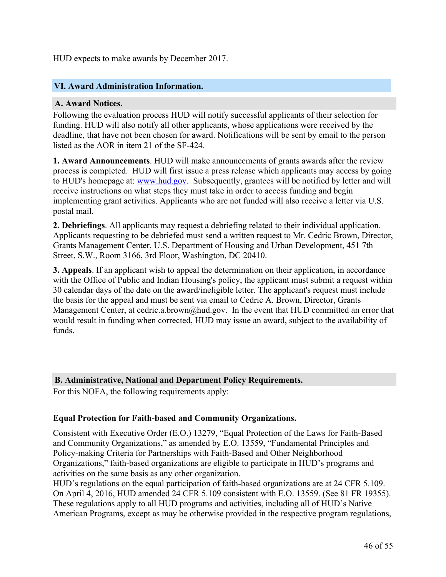HUD expects to make awards by December 2017.

#### <span id="page-47-0"></span>**VI. Award Administration Information.**

#### **A. Award Notices.**

Following the evaluation process HUD will notify successful applicants of their selection for funding. HUD will also notify all other applicants, whose applications were received by the deadline, that have not been chosen for award. Notifications will be sent by email to the person listed as the AOR in item 21 of the SF-424.

**1. Award Announcements**. HUD will make announcements of grants awards after the review process is completed. HUD will first issue a press release which applicants may access by going to HUD's homepage at: [www.hud.gov](http://www.hud.gov). Subsequently, grantees will be notified by letter and will receive instructions on what steps they must take in order to access funding and begin implementing grant activities. Applicants who are not funded will also receive a letter via U.S. postal mail.

**2. Debriefings**. All applicants may request a debriefing related to their individual application. Applicants requesting to be debriefed must send a written request to Mr. Cedric Brown, Director, Grants Management Center, U.S. Department of Housing and Urban Development, 451 7th Street, S.W., Room 3166, 3rd Floor, Washington, DC 20410.

**3. Appeals**. If an applicant wish to appeal the determination on their application, in accordance with the Office of Public and Indian Housing's policy, the applicant must submit a request within 30 calendar days of the date on the award/ineligible letter. The applicant's request must include the basis for the appeal and must be sent via email to Cedric A. Brown, Director, Grants Management Center, at cedric.a.brown@hud.gov. In the event that HUD committed an error that would result in funding when corrected, HUD may issue an award, subject to the availability of funds.

#### **B. Administrative, National and Department Policy Requirements.**

For this NOFA, the following requirements apply:

#### **Equal Protection for Faith-based and Community Organizations.**

Consistent with Executive Order (E.O.) 13279, "Equal Protection of the Laws for Faith-Based and Community Organizations," as amended by E.O. 13559, "Fundamental Principles and Policy-making Criteria for Partnerships with Faith-Based and Other Neighborhood Organizations," faith-based organizations are eligible to participate in HUD's programs and activities on the same basis as any other organization.

HUD's regulations on the equal participation of faith-based organizations are at 24 CFR 5.109. On April 4, 2016, HUD amended 24 CFR 5.109 consistent with E.O. 13559. (See 81 FR 19355). These regulations apply to all HUD programs and activities, including all of HUD's Native American Programs, except as may be otherwise provided in the respective program regulations,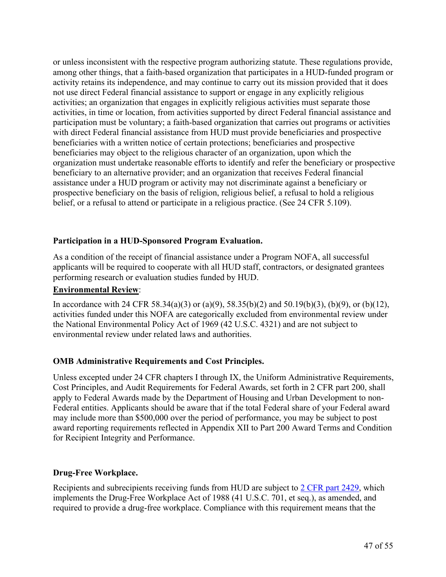or unless inconsistent with the respective program authorizing statute. These regulations provide, among other things, that a faith-based organization that participates in a HUD-funded program or activity retains its independence, and may continue to carry out its mission provided that it does not use direct Federal financial assistance to support or engage in any explicitly religious activities; an organization that engages in explicitly religious activities must separate those activities, in time or location, from activities supported by direct Federal financial assistance and participation must be voluntary; a faith-based organization that carries out programs or activities with direct Federal financial assistance from HUD must provide beneficiaries and prospective beneficiaries with a written notice of certain protections; beneficiaries and prospective beneficiaries may object to the religious character of an organization, upon which the organization must undertake reasonable efforts to identify and refer the beneficiary or prospective beneficiary to an alternative provider; and an organization that receives Federal financial assistance under a HUD program or activity may not discriminate against a beneficiary or prospective beneficiary on the basis of religion, religious belief, a refusal to hold a religious belief, or a refusal to attend or participate in a religious practice. (See 24 CFR 5.109).

## **Participation in a HUD-Sponsored Program Evaluation.**

As a condition of the receipt of financial assistance under a Program NOFA, all successful applicants will be required to cooperate with all HUD staff, contractors, or designated grantees performing research or evaluation studies funded by HUD.

#### **Environmental Review**:

In accordance with 24 CFR 58.34(a)(3) or (a)(9), 58.35(b)(2) and 50.19(b)(3), (b)(9), or (b)(12), activities funded under this NOFA are categorically excluded from environmental review under the National Environmental Policy Act of 1969 (42 U.S.C. 4321) and are not subject to environmental review under related laws and authorities.

## **OMB Administrative Requirements and Cost Principles.**

Unless excepted under 24 CFR chapters I through IX, the Uniform Administrative Requirements, Cost Principles, and Audit Requirements for Federal Awards, set forth in 2 CFR part 200, shall apply to Federal Awards made by the Department of Housing and Urban Development to non-Federal entities. Applicants should be aware that if the total Federal share of your Federal award may include more than \$500,000 over the period of performance, you may be subject to post award reporting requirements reflected in Appendix XII to Part 200 Award Terms and Condition for Recipient Integrity and Performance.

#### **Drug-Free Workplace.**

Recipients and subrecipients receiving funds from HUD are subject to 2 CFR part [2429,](http://www.ecfr.gov/cgi-bin/text-idx?SID=526c90beffd3a13b4d67191f2c13f88a&mc=true&node=pt2.1.2429&rgn=div5) which implements the Drug-Free Workplace Act of 1988 (41 U.S.C. 701, et seq.), as amended, and required to provide a drug-free workplace. Compliance with this requirement means that the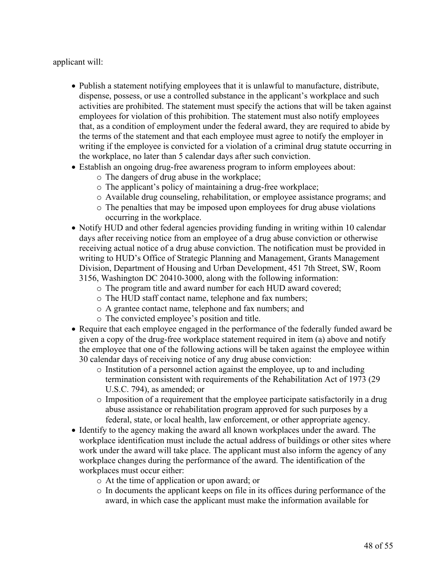applicant will:

- Publish a statement notifying employees that it is unlawful to manufacture, distribute, dispense, possess, or use a controlled substance in the applicant's workplace and such activities are prohibited. The statement must specify the actions that will be taken against employees for violation of this prohibition. The statement must also notify employees that, as a condition of employment under the federal award, they are required to abide by the terms of the statement and that each employee must agree to notify the employer in writing if the employee is convicted for a violation of a criminal drug statute occurring in the workplace, no later than 5 calendar days after such conviction.
- Establish an ongoing drug-free awareness program to inform employees about:
	- o The dangers of drug abuse in the workplace;
	- o The applicant's policy of maintaining a drug-free workplace;
	- o Available drug counseling, rehabilitation, or employee assistance programs; and
	- o The penalties that may be imposed upon employees for drug abuse violations occurring in the workplace.
- Notify HUD and other federal agencies providing funding in writing within 10 calendar days after receiving notice from an employee of a drug abuse conviction or otherwise receiving actual notice of a drug abuse conviction. The notification must be provided in writing to HUD's Office of Strategic Planning and Management, Grants Management Division, Department of Housing and Urban Development, 451 7th Street, SW, Room 3156, Washington DC 20410-3000, along with the following information:
	- o The program title and award number for each HUD award covered;
	- o The HUD staff contact name, telephone and fax numbers;
	- o A grantee contact name, telephone and fax numbers; and
	- o The convicted employee's position and title.
- Require that each employee engaged in the performance of the federally funded award be given a copy of the drug-free workplace statement required in item (a) above and notify the employee that one of the following actions will be taken against the employee within 30 calendar days of receiving notice of any drug abuse conviction:
	- o Institution of a personnel action against the employee, up to and including termination consistent with requirements of the Rehabilitation Act of 1973 (29 U.S.C. 794), as amended; or
	- o Imposition of a requirement that the employee participate satisfactorily in a drug abuse assistance or rehabilitation program approved for such purposes by a federal, state, or local health, law enforcement, or other appropriate agency.
- Identify to the agency making the award all known workplaces under the award. The workplace identification must include the actual address of buildings or other sites where work under the award will take place. The applicant must also inform the agency of any workplace changes during the performance of the award. The identification of the workplaces must occur either:
	- o At the time of application or upon award; or
	- o In documents the applicant keeps on file in its offices during performance of the award, in which case the applicant must make the information available for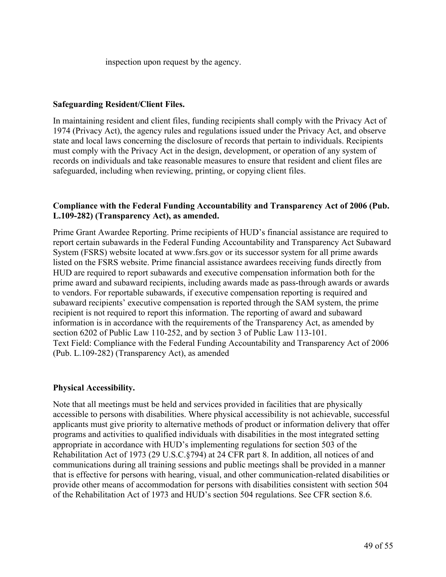inspection upon request by the agency.

#### **Safeguarding Resident/Client Files.**

In maintaining resident and client files, funding recipients shall comply with the Privacy Act of 1974 (Privacy Act), the agency rules and regulations issued under the Privacy Act, and observe state and local laws concerning the disclosure of records that pertain to individuals. Recipients must comply with the Privacy Act in the design, development, or operation of any system of records on individuals and take reasonable measures to ensure that resident and client files are safeguarded, including when reviewing, printing, or copying client files.

#### **Compliance with the Federal Funding Accountability and Transparency Act of 2006 (Pub. L.109-282) (Transparency Act), as amended.**

Prime Grant Awardee Reporting. Prime recipients of HUD's financial assistance are required to report certain subawards in the Federal Funding Accountability and Transparency Act Subaward System (FSRS) website located at www.fsrs.gov or its successor system for all prime awards listed on the FSRS website. Prime financial assistance awardees receiving funds directly from HUD are required to report subawards and executive compensation information both for the prime award and subaward recipients, including awards made as pass-through awards or awards to vendors. For reportable subawards, if executive compensation reporting is required and subaward recipients' executive compensation is reported through the SAM system, the prime recipient is not required to report this information. The reporting of award and subaward information is in accordance with the requirements of the Transparency Act, as amended by section 6202 of Public Law 110-252, and by section 3 of Public Law 113-101. Text Field: Compliance with the Federal Funding Accountability and Transparency Act of 2006 (Pub. L.109-282) (Transparency Act), as amended

## **Physical Accessibility.**

Note that all meetings must be held and services provided in facilities that are physically accessible to persons with disabilities. Where physical accessibility is not achievable, successful applicants must give priority to alternative methods of product or information delivery that offer programs and activities to qualified individuals with disabilities in the most integrated setting appropriate in accordance with HUD's implementing regulations for section 503 of the Rehabilitation Act of 1973 (29 U.S.C.§794) at 24 CFR part 8. In addition, all notices of and communications during all training sessions and public meetings shall be provided in a manner that is effective for persons with hearing, visual, and other communication-related disabilities or provide other means of accommodation for persons with disabilities consistent with section 504 of the Rehabilitation Act of 1973 and HUD's section 504 regulations. See CFR section 8.6.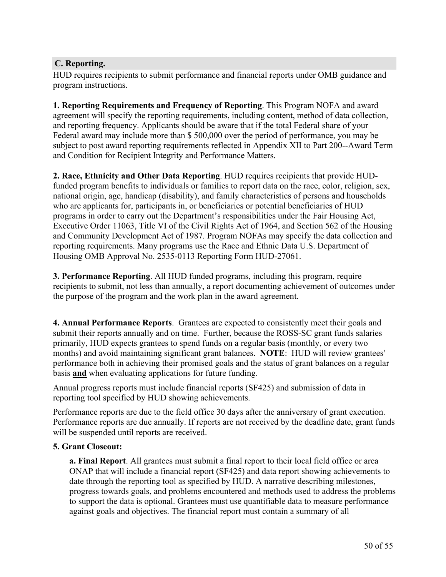# **C. Reporting.**

HUD requires recipients to submit performance and financial reports under OMB guidance and program instructions.

**1. Reporting Requirements and Frequency of Reporting**. This Program NOFA and award agreement will specify the reporting requirements, including content, method of data collection, and reporting frequency. Applicants should be aware that if the total Federal share of your Federal award may include more than \$ 500,000 over the period of performance, you may be subject to post award reporting requirements reflected in Appendix XII to Part 200--Award Term and Condition for Recipient Integrity and Performance Matters.

**2. Race, Ethnicity and Other Data Reporting**. HUD requires recipients that provide HUDfunded program benefits to individuals or families to report data on the race, color, religion, sex, national origin, age, handicap (disability), and family characteristics of persons and households who are applicants for, participants in, or beneficiaries or potential beneficiaries of HUD programs in order to carry out the Department's responsibilities under the Fair Housing Act, Executive Order 11063, Title VI of the Civil Rights Act of 1964, and Section 562 of the Housing and Community Development Act of 1987. Program NOFAs may specify the data collection and reporting requirements. Many programs use the Race and Ethnic Data U.S. Department of Housing OMB Approval No. 2535-0113 Reporting Form HUD-27061.

**3. Performance Reporting**. All HUD funded programs, including this program, require recipients to submit, not less than annually, a report documenting achievement of outcomes under the purpose of the program and the work plan in the award agreement.

**4. Annual Performance Reports**. Grantees are expected to consistently meet their goals and submit their reports annually and on time. Further, because the ROSS-SC grant funds salaries primarily, HUD expects grantees to spend funds on a regular basis (monthly, or every two months) and avoid maintaining significant grant balances. **NOTE**: HUD will review grantees' performance both in achieving their promised goals and the status of grant balances on a regular basis **and** when evaluating applications for future funding.

Annual progress reports must include financial reports (SF425) and submission of data in reporting tool specified by HUD showing achievements.

Performance reports are due to the field office 30 days after the anniversary of grant execution. Performance reports are due annually. If reports are not received by the deadline date, grant funds will be suspended until reports are received.

#### **5. Grant Closeout:**

**a. Final Report**. All grantees must submit a final report to their local field office or area ONAP that will include a financial report (SF425) and data report showing achievements to date through the reporting tool as specified by HUD. A narrative describing milestones, progress towards goals, and problems encountered and methods used to address the problems to support the data is optional. Grantees must use quantifiable data to measure performance against goals and objectives. The financial report must contain a summary of all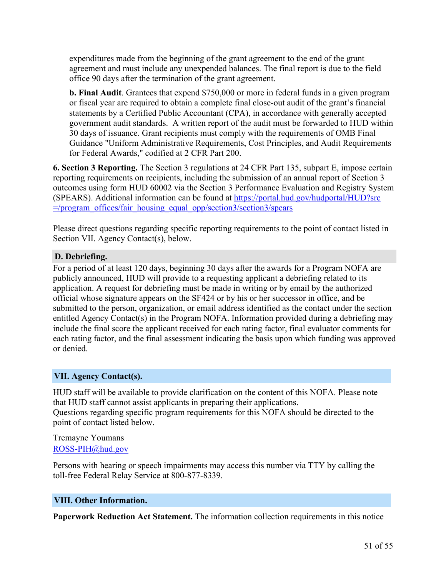expenditures made from the beginning of the grant agreement to the end of the grant agreement and must include any unexpended balances. The final report is due to the field office 90 days after the termination of the grant agreement.

**b. Final Audit**. Grantees that expend \$750,000 or more in federal funds in a given program or fiscal year are required to obtain a complete final close-out audit of the grant's financial statements by a Certified Public Accountant (CPA), in accordance with generally accepted government audit standards. A written report of the audit must be forwarded to HUD within 30 days of issuance. Grant recipients must comply with the requirements of OMB Final Guidance "Uniform Administrative Requirements, Cost Principles, and Audit Requirements for Federal Awards," codified at 2 CFR Part 200.

**6. Section 3 Reporting.** The Section 3 regulations at 24 CFR Part 135, subpart E, impose certain reporting requirements on recipients, including the submission of an annual report of Section 3 outcomes using form HUD 60002 via the Section 3 Performance Evaluation and Registry System (SPEARS). Additional information can be found at [https://portal.hud.gov/hudportal/HUD?src](https://foa.grantsolutions.gov/The%20Section%203%20regulations%20at%2024%20CFR%20Part%20135,%20subpart%20E,%20impose%20certain%20reporting%20requirements%20on%20recipients,%20including%20the%20submission%20of%20an%20annual%20report%20of%20Section%203%20outcomes%20using%20form%20HUD%2060002%20via%20the%20Section%203%20Performance%20Evaluation%20and%20Registry%20System%20(SPEARS).%20Additional%20information%20can%20be%20found%20at%20%20https:/portal.hud.gov/hudportal/HUD?src=/program_offices/fair_housing_equal_opp/section3/section3/spears4) [=/program\\_offices/fair\\_housing\\_equal\\_opp/section3/section3/spears](https://foa.grantsolutions.gov/The%20Section%203%20regulations%20at%2024%20CFR%20Part%20135,%20subpart%20E,%20impose%20certain%20reporting%20requirements%20on%20recipients,%20including%20the%20submission%20of%20an%20annual%20report%20of%20Section%203%20outcomes%20using%20form%20HUD%2060002%20via%20the%20Section%203%20Performance%20Evaluation%20and%20Registry%20System%20(SPEARS).%20Additional%20information%20can%20be%20found%20at%20%20https:/portal.hud.gov/hudportal/HUD?src=/program_offices/fair_housing_equal_opp/section3/section3/spears4)

Please direct questions regarding specific reporting requirements to the point of contact listed in Section VII. Agency Contact(s), below.

## **D. Debriefing.**

For a period of at least 120 days, beginning 30 days after the awards for a Program NOFA are publicly announced, HUD will provide to a requesting applicant a debriefing related to its application. A request for debriefing must be made in writing or by email by the authorized official whose signature appears on the SF424 or by his or her successor in office, and be submitted to the person, organization, or email address identified as the contact under the section entitled Agency Contact(s) in the Program NOFA. Information provided during a debriefing may include the final score the applicant received for each rating factor, final evaluator comments for each rating factor, and the final assessment indicating the basis upon which funding was approved or denied.

## <span id="page-52-0"></span>**VII. Agency Contact(s).**

HUD staff will be available to provide clarification on the content of this NOFA. Please note that HUD staff cannot assist applicants in preparing their applications. Questions regarding specific program requirements for this NOFA should be directed to the point of contact listed below.

#### Tremayne Youmans [ROSS-PIH@hud.gov](mailto:ROSS-PIH@hud.gov)

Persons with hearing or speech impairments may access this number via TTY by calling the toll-free Federal Relay Service at 800-877-8339.

#### <span id="page-52-1"></span>**VIII. Other Information.**

**Paperwork Reduction Act Statement.** The information collection requirements in this notice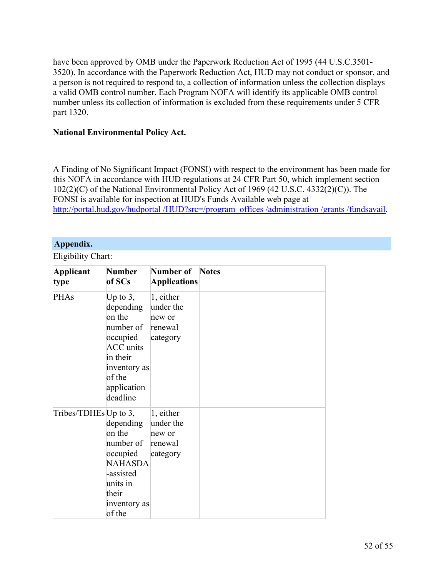have been approved by OMB under the Paperwork Reduction Act of 1995 (44 U.S.C.3501- 3520). In accordance with the Paperwork Reduction Act, HUD may not conduct or sponsor, and a person is not required to respond to, a collection of information unless the collection displays a valid OMB control number. Each Program NOFA will identify its applicable OMB control number unless its collection of information is excluded from these requirements under 5 CFR part 1320.

#### **National Environmental Policy Act.**

A Finding of No Significant Impact (FONSI) with respect to the environment has been made for this NOFA in accordance with HUD regulations at 24 CFR Part 50, which implement section 102(2)(C) of the National Environmental Policy Act of 1969 (42 U.S.C. 4332(2)(C)). The FONSI is available for inspection at HUD's Funds Available web page at [http://portal.hud.gov/hudportal](http://portal.hud.gov/hudportal/HUD?src=/program_offices/administration/grants/fundsavail) /HUD?src=/program\_offices /administration /grants /fundsavail.

## <span id="page-53-0"></span>**Appendix.**

Eligibility Chart:

| Applicant<br>type     | <b>Number</b><br>of SCs                                                                                                                          | <b>Number of</b> Notes<br><b>Applications</b>           |  |
|-----------------------|--------------------------------------------------------------------------------------------------------------------------------------------------|---------------------------------------------------------|--|
| <b>PHAs</b>           | Up to $3$ ,<br>depending<br>on the<br>number of<br>occupied<br><b>ACC</b> units<br>in their<br>inventory as<br>of the<br>application<br>deadline | 1, either<br>under the<br>new or<br>renewal<br>category |  |
| Tribes/TDHEs Up to 3, | depending<br>on the<br>number of<br>occupied<br><b>NAHASDA</b><br>-assisted<br>units in<br>their<br>inventory as<br>of the                       | 1, either<br>under the<br>new or<br>renewal<br>category |  |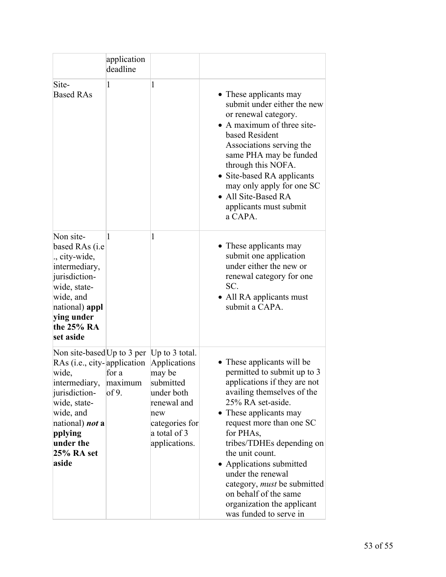|                                                                                                                                                                                                                           | application<br>deadline   |                                                                                                                            |                                                                                                                                                                                                                                                                                                                                                                                                                                       |
|---------------------------------------------------------------------------------------------------------------------------------------------------------------------------------------------------------------------------|---------------------------|----------------------------------------------------------------------------------------------------------------------------|---------------------------------------------------------------------------------------------------------------------------------------------------------------------------------------------------------------------------------------------------------------------------------------------------------------------------------------------------------------------------------------------------------------------------------------|
| Site-<br><b>Based RAs</b>                                                                                                                                                                                                 | 1                         | 1                                                                                                                          | • These applicants may<br>submit under either the new<br>or renewal category.<br>• A maximum of three site-<br>based Resident<br>Associations serving the<br>same PHA may be funded<br>through this NOFA.<br>• Site-based RA applicants<br>may only apply for one SC<br>• All Site-Based RA<br>applicants must submit<br>a CAPA.                                                                                                      |
| Non site-<br>based RAs (i.e<br>., city-wide,<br>intermediary,<br>jurisdiction-<br>wide, state-<br>wide, and<br>national) appl<br>ying under<br>the 25% RA<br>set aside                                                    | 1                         | 1                                                                                                                          | • These applicants may<br>submit one application<br>under either the new or<br>renewal category for one<br>SC.<br>• All RA applicants must<br>submit a CAPA.                                                                                                                                                                                                                                                                          |
| Non site-based Up to 3 per Up to 3 total.<br>RAs (i.e., city-application<br>wide,<br>intermediary,<br>jurisdiction-<br>wide, state-<br>wide, and<br>national) <i>not</i> a<br>pplying<br>under the<br>25% RA set<br>aside | for a<br>maximum<br>of 9. | Applications<br>may be<br>submitted<br>under both<br>renewal and<br>new<br>categories for<br>a total of 3<br>applications. | • These applicants will be<br>permitted to submit up to 3<br>applications if they are not<br>availing themselves of the<br>25% RA set-aside.<br>• These applicants may<br>request more than one SC<br>for PHAs,<br>tribes/TDHEs depending on<br>the unit count.<br>Applications submitted<br>under the renewal<br>category, <i>must</i> be submitted<br>on behalf of the same<br>organization the applicant<br>was funded to serve in |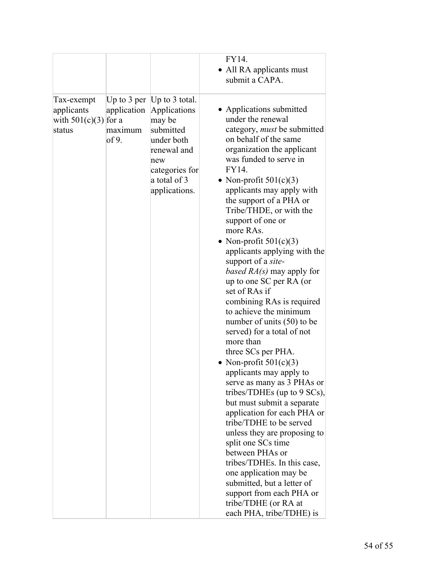|                                                              |                                 |                                                                                                                                                            | FY14.<br>• All RA applicants must<br>submit a CAPA.                                                                                                                                                                                                                                                                                                                                                                                                                                                                                                                                                                                                                                                                                                                                                                                                                                                                                                                                                                                                                                                                           |
|--------------------------------------------------------------|---------------------------------|------------------------------------------------------------------------------------------------------------------------------------------------------------|-------------------------------------------------------------------------------------------------------------------------------------------------------------------------------------------------------------------------------------------------------------------------------------------------------------------------------------------------------------------------------------------------------------------------------------------------------------------------------------------------------------------------------------------------------------------------------------------------------------------------------------------------------------------------------------------------------------------------------------------------------------------------------------------------------------------------------------------------------------------------------------------------------------------------------------------------------------------------------------------------------------------------------------------------------------------------------------------------------------------------------|
| Tax-exempt<br>applicants<br>with $501(c)(3)$ for a<br>status | application<br>maximum<br>of 9. | Up to 3 per [Up to 3 total.]<br>Applications<br>may be<br>submitted<br>under both<br>renewal and<br>new<br>categories for<br>a total of 3<br>applications. | • Applications submitted<br>under the renewal<br>category, <i>must</i> be submitted<br>on behalf of the same<br>organization the applicant<br>was funded to serve in<br>FY14.<br>• Non-profit $501(c)(3)$<br>applicants may apply with<br>the support of a PHA or<br>Tribe/THDE, or with the<br>support of one or<br>more RAs.<br>• Non-profit $501(c)(3)$<br>applicants applying with the<br>support of a site-<br><i>based <math>RA(s)</math> may apply for</i><br>up to one SC per RA (or<br>set of RAs if<br>combining RAs is required<br>to achieve the minimum<br>number of units (50) to be<br>served) for a total of not<br>more than<br>three SCs per PHA.<br>Non-profit $501(c)(3)$<br>applicants may apply to<br>serve as many as 3 PHAs or<br>tribes/TDHEs (up to 9 SCs),<br>but must submit a separate<br>application for each PHA or<br>tribe/TDHE to be served<br>unless they are proposing to<br>split one SCs time<br>between PHAs or<br>tribes/TDHEs. In this case,<br>one application may be<br>submitted, but a letter of<br>support from each PHA or<br>tribe/TDHE (or RA at<br>each PHA, tribe/TDHE) is |